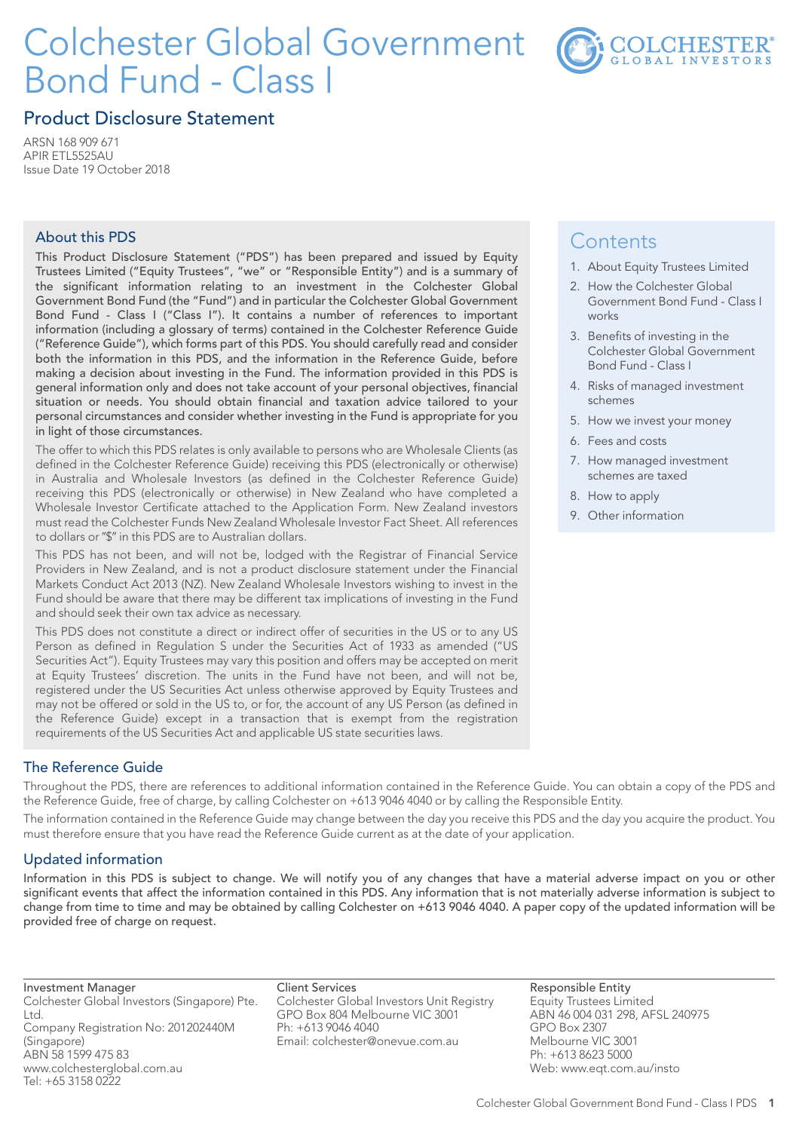# Colchester Global Government Bond Fund - Class I



# Product Disclosure Statement

ARSN 168 909 671 APIR ETL5525AU Issue Date 19 October 2018

## About this PDS

This Product Disclosure Statement ("PDS") has been prepared and issued by Equity Trustees Limited ("Equity Trustees", "we" or "Responsible Entity") and is a summary of the significant information relating to an investment in the Colchester Global Government Bond Fund (the "Fund") and in particular the Colchester Global Government Bond Fund - Class I ("Class I"). It contains a number of references to important information (including a glossary of terms) contained in the Colchester Reference Guide ("Reference Guide"), which forms part of this PDS. You should carefully read and consider both the information in this PDS, and the information in the Reference Guide, before making a decision about investing in the Fund. The information provided in this PDS is general information only and does not take account of your personal objectives, financial situation or needs. You should obtain financial and taxation advice tailored to your personal circumstances and consider whether investing in the Fund is appropriate for you in light of those circumstances.

The offer to which this PDS relates is only available to persons who are Wholesale Clients (as defined in the Colchester Reference Guide) receiving this PDS (electronically or otherwise) in Australia and Wholesale Investors (as defined in the Colchester Reference Guide) receiving this PDS (electronically or otherwise) in New Zealand who have completed a Wholesale Investor Certificate attached to the Application Form. New Zealand investors must read the Colchester Funds New Zealand Wholesale Investor Fact Sheet. All references to dollars or "\$" in this PDS are to Australian dollars.

This PDS has not been, and will not be, lodged with the Registrar of Financial Service Providers in New Zealand, and is not a product disclosure statement under the Financial Markets Conduct Act 2013 (NZ). New Zealand Wholesale Investors wishing to invest in the Fund should be aware that there may be different tax implications of investing in the Fund and should seek their own tax advice as necessary.

This PDS does not constitute a direct or indirect offer of securities in the US or to any US Person as defined in Regulation S under the Securities Act of 1933 as amended ("US Securities Act"). Equity Trustees may vary this position and offers may be accepted on merit at Equity Trustees' discretion. The units in the Fund have not been, and will not be, registered under the US Securities Act unless otherwise approved by Equity Trustees and may not be offered or sold in the US to, or for, the account of any US Person (as defined in the Reference Guide) except in a transaction that is exempt from the registration requirements of the US Securities Act and applicable US state securities laws.

# The Reference Guide

Throughout the PDS, there are references to additional information contained in the Reference Guide. You can obtain a copy of the PDS and the Reference Guide, free of charge, by calling Colchester on +613 9046 4040 or by calling the Responsible Entity.

The information contained in the Reference Guide may change between the day you receive this PDS and the day you acquire the product. You must therefore ensure that you have read the Reference Guide current as at the date of your application.

# Updated information

Information in this PDS is subject to change. We will notify you of any changes that have a material adverse impact on you or other significant events that affect the information contained in this PDS. Any information that is not materially adverse information is subject to change from time to time and may be obtained by calling Colchester on +613 9046 4040. A paper copy of the updated information will be provided free of charge on request.

Investment Manager Colchester Global Investors (Singapore) Pte.  $H_{\rm tot}$ Company Registration No: 201202440M (Singapore) ABN 58 1599 475 83 www.colchesterglobal.com.au Tel: +65 3158 0222

Client Services Colchester Global Investors Unit Registry GPO Box 804 Melbourne VIC 3001 Ph: +613 9046 4040 Email: colchester@onevue.com.au

**Contents** 

- 1. About Equity Trustees Limited
- 2. How the Colchester Global Government Bond Fund - Class I works
- 3. Benefits of investing in the Colchester Global Government Bond Fund - Class I
- 4. Risks of managed investment schemes
- 5. How we invest your money
- 6. Fees and costs
- 7. How managed investment schemes are taxed
- 8. How to apply
- 9. Other information

Responsible Entity Equity Trustees Limited ABN 46 004 031 298, AFSL 240975 GPO Box 2307 Melbourne VIC 3001 Ph: +613 8623 5000 Web: www.eqt.com.au/insto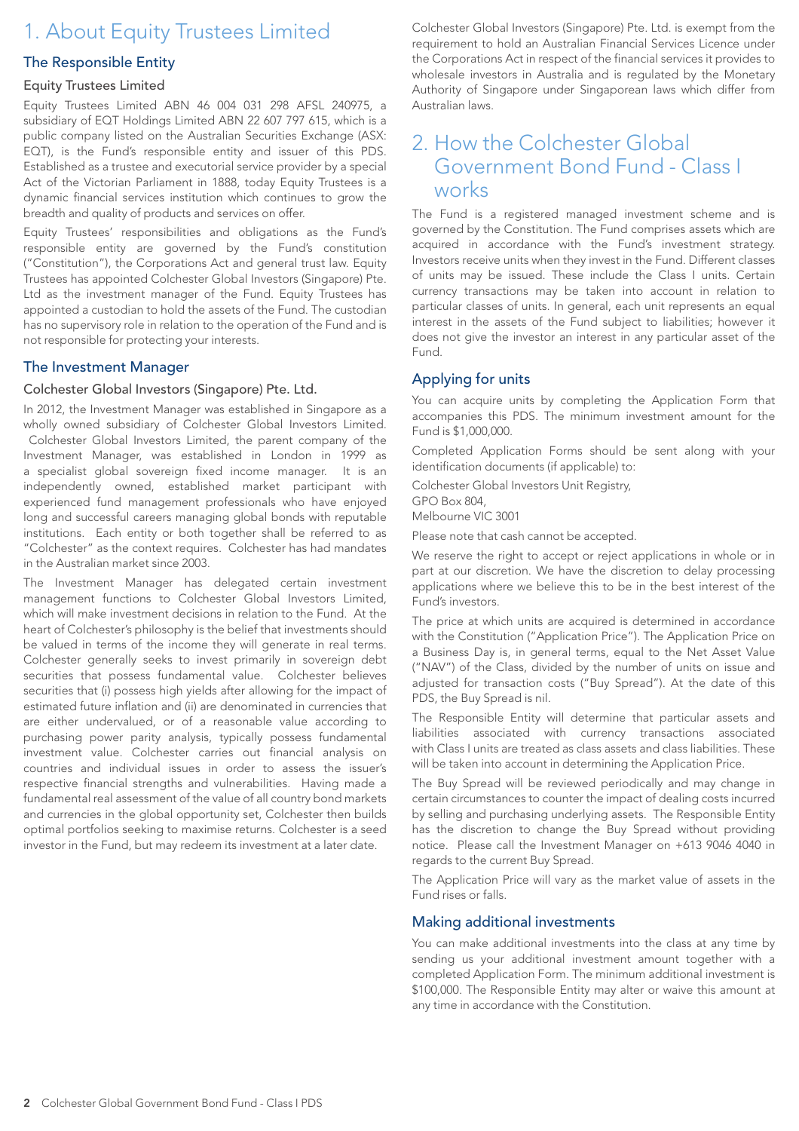# 1. About Equity Trustees Limited

## The Responsible Entity

#### Equity Trustees Limited

Equity Trustees Limited ABN 46 004 031 298 AFSL 240975, a subsidiary of EQT Holdings Limited ABN 22 607 797 615, which is a public company listed on the Australian Securities Exchange (ASX: EQT), is the Fund's responsible entity and issuer of this PDS. Established as a trustee and executorial service provider by a special Act of the Victorian Parliament in 1888, today Equity Trustees is a dynamic financial services institution which continues to grow the breadth and quality of products and services on offer.

Equity Trustees' responsibilities and obligations as the Fund's responsible entity are governed by the Fund's constitution ("Constitution"), the Corporations Act and general trust law. Equity Trustees has appointed Colchester Global Investors (Singapore) Pte. Ltd as the investment manager of the Fund. Equity Trustees has appointed a custodian to hold the assets of the Fund. The custodian has no supervisory role in relation to the operation of the Fund and is not responsible for protecting your interests.

#### The Investment Manager

#### Colchester Global Investors (Singapore) Pte. Ltd.

In 2012, the Investment Manager was established in Singapore as a wholly owned subsidiary of Colchester Global Investors Limited. Colchester Global Investors Limited, the parent company of the Investment Manager, was established in London in 1999 as a specialist global sovereign fixed income manager. It is an independently owned, established market participant with experienced fund management professionals who have enjoyed long and successful careers managing global bonds with reputable institutions. Each entity or both together shall be referred to as "Colchester" as the context requires. Colchester has had mandates in the Australian market since 2003.

The Investment Manager has delegated certain investment management functions to Colchester Global Investors Limited, which will make investment decisions in relation to the Fund. At the heart of Colchester's philosophy is the belief that investments should be valued in terms of the income they will generate in real terms. Colchester generally seeks to invest primarily in sovereign debt securities that possess fundamental value. Colchester believes securities that (i) possess high yields after allowing for the impact of estimated future inflation and (ii) are denominated in currencies that are either undervalued, or of a reasonable value according to purchasing power parity analysis, typically possess fundamental investment value. Colchester carries out financial analysis on countries and individual issues in order to assess the issuer's respective financial strengths and vulnerabilities. Having made a fundamental real assessment of the value of all country bond markets and currencies in the global opportunity set, Colchester then builds optimal portfolios seeking to maximise returns. Colchester is a seed investor in the Fund, but may redeem its investment at a later date.

Colchester Global Investors (Singapore) Pte. Ltd. is exempt from the requirement to hold an Australian Financial Services Licence under the Corporations Act in respect of the financial services it provides to wholesale investors in Australia and is regulated by the Monetary Authority of Singapore under Singaporean laws which differ from Australian laws.

# 2. How the Colchester Global Government Bond Fund - Class I works

The Fund is a registered managed investment scheme and is governed by the Constitution. The Fund comprises assets which are acquired in accordance with the Fund's investment strategy. Investors receive units when they invest in the Fund. Different classes of units may be issued. These include the Class I units. Certain currency transactions may be taken into account in relation to particular classes of units. In general, each unit represents an equal interest in the assets of the Fund subject to liabilities; however it does not give the investor an interest in any particular asset of the Fund.

## Applying for units

You can acquire units by completing the Application Form that accompanies this PDS. The minimum investment amount for the Fund is \$1,000,000.

Completed Application Forms should be sent along with your identification documents (if applicable) to:

Colchester Global Investors Unit Registry,

GPO Box 804,

Melbourne VIC 3001

Please note that cash cannot be accepted.

We reserve the right to accept or reject applications in whole or in part at our discretion. We have the discretion to delay processing applications where we believe this to be in the best interest of the Fund's investors.

The price at which units are acquired is determined in accordance with the Constitution ("Application Price"). The Application Price on a Business Day is, in general terms, equal to the Net Asset Value ("NAV") of the Class, divided by the number of units on issue and adjusted for transaction costs ("Buy Spread"). At the date of this PDS, the Buy Spread is nil.

The Responsible Entity will determine that particular assets and liabilities associated with currency transactions associated with Class I units are treated as class assets and class liabilities. These will be taken into account in determining the Application Price.

The Buy Spread will be reviewed periodically and may change in certain circumstances to counter the impact of dealing costs incurred by selling and purchasing underlying assets. The Responsible Entity has the discretion to change the Buy Spread without providing notice. Please call the Investment Manager on +613 9046 4040 in regards to the current Buy Spread.

The Application Price will vary as the market value of assets in the Fund rises or falls.

#### Making additional investments

You can make additional investments into the class at any time by sending us your additional investment amount together with a completed Application Form. The minimum additional investment is \$100,000. The Responsible Entity may alter or waive this amount at any time in accordance with the Constitution.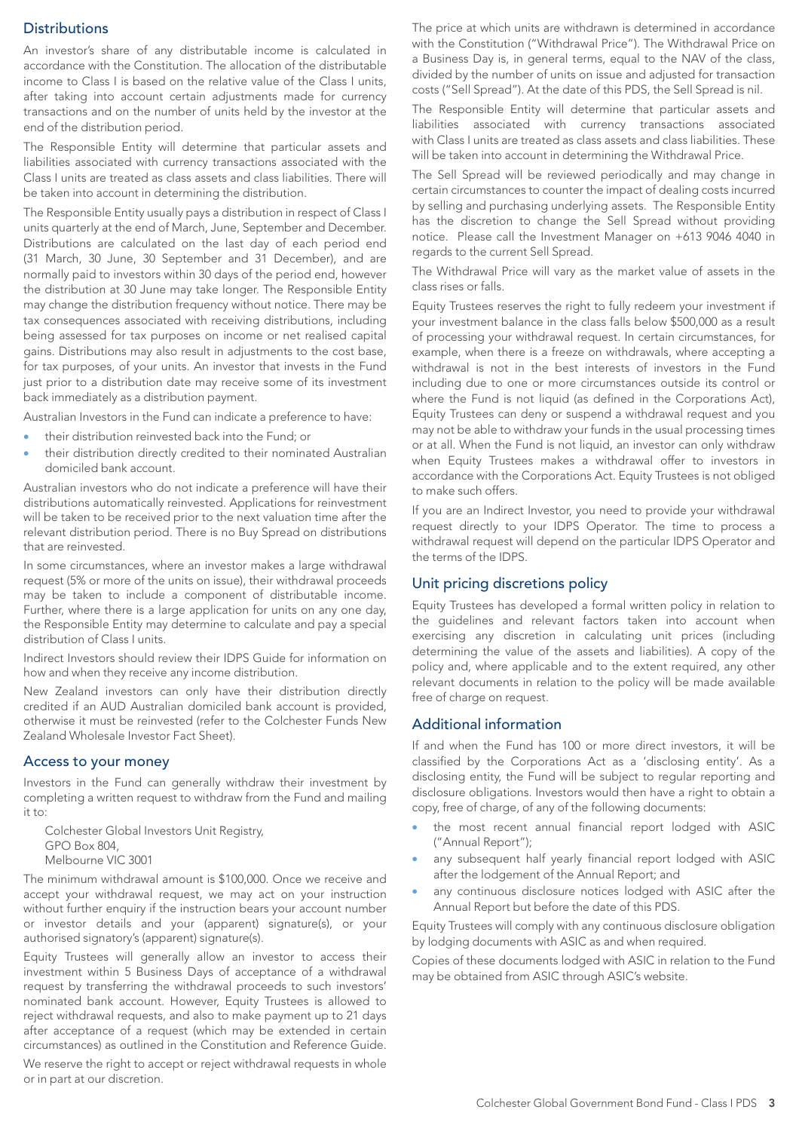# **Distributions**

An investor's share of any distributable income is calculated in accordance with the Constitution. The allocation of the distributable income to Class I is based on the relative value of the Class I units, after taking into account certain adjustments made for currency transactions and on the number of units held by the investor at the end of the distribution period.

The Responsible Entity will determine that particular assets and liabilities associated with currency transactions associated with the Class I units are treated as class assets and class liabilities. There will be taken into account in determining the distribution.

The Responsible Entity usually pays a distribution in respect of Class I units quarterly at the end of March, June, September and December. Distributions are calculated on the last day of each period end (31 March, 30 June, 30 September and 31 December), and are normally paid to investors within 30 days of the period end, however the distribution at 30 June may take longer. The Responsible Entity may change the distribution frequency without notice. There may be tax consequences associated with receiving distributions, including being assessed for tax purposes on income or net realised capital gains. Distributions may also result in adjustments to the cost base, for tax purposes, of your units. An investor that invests in the Fund just prior to a distribution date may receive some of its investment back immediately as a distribution payment.

Australian Investors in the Fund can indicate a preference to have:

- their distribution reinvested back into the Fund; or
- their distribution directly credited to their nominated Australian domiciled bank account.

Australian investors who do not indicate a preference will have their distributions automatically reinvested. Applications for reinvestment will be taken to be received prior to the next valuation time after the relevant distribution period. There is no Buy Spread on distributions that are reinvested.

In some circumstances, where an investor makes a large withdrawal request (5% or more of the units on issue), their withdrawal proceeds may be taken to include a component of distributable income. Further, where there is a large application for units on any one day, the Responsible Entity may determine to calculate and pay a special distribution of Class I units.

Indirect Investors should review their IDPS Guide for information on how and when they receive any income distribution.

New Zealand investors can only have their distribution directly credited if an AUD Australian domiciled bank account is provided, otherwise it must be reinvested (refer to the Colchester Funds New Zealand Wholesale Investor Fact Sheet).

#### Access to your money

Investors in the Fund can generally withdraw their investment by completing a written request to withdraw from the Fund and mailing  $it to:$ 

Colchester Global Investors Unit Registry, GPO Box 804, Melbourne VIC 3001

The minimum withdrawal amount is \$100,000. Once we receive and accept your withdrawal request, we may act on your instruction without further enquiry if the instruction bears your account number or investor details and your (apparent) signature(s), or your authorised signatory's (apparent) signature(s).

Equity Trustees will generally allow an investor to access their investment within 5 Business Days of acceptance of a withdrawal request by transferring the withdrawal proceeds to such investors' nominated bank account. However, Equity Trustees is allowed to reject withdrawal requests, and also to make payment up to 21 days after acceptance of a request (which may be extended in certain circumstances) as outlined in the Constitution and Reference Guide.

We reserve the right to accept or reject withdrawal requests in whole or in part at our discretion.

The price at which units are withdrawn is determined in accordance with the Constitution ("Withdrawal Price"). The Withdrawal Price on a Business Day is, in general terms, equal to the NAV of the class, divided by the number of units on issue and adjusted for transaction costs ("Sell Spread"). At the date of this PDS, the Sell Spread is nil.

The Responsible Entity will determine that particular assets and liabilities associated with currency transactions associated with Class I units are treated as class assets and class liabilities. These will be taken into account in determining the Withdrawal Price.

The Sell Spread will be reviewed periodically and may change in certain circumstances to counter the impact of dealing costs incurred by selling and purchasing underlying assets. The Responsible Entity has the discretion to change the Sell Spread without providing notice. Please call the Investment Manager on +613 9046 4040 in regards to the current Sell Spread.

The Withdrawal Price will vary as the market value of assets in the class rises or falls.

Equity Trustees reserves the right to fully redeem your investment if your investment balance in the class falls below \$500,000 as a result of processing your withdrawal request. In certain circumstances, for example, when there is a freeze on withdrawals, where accepting a withdrawal is not in the best interests of investors in the Fund including due to one or more circumstances outside its control or where the Fund is not liquid (as defined in the Corporations Act), Equity Trustees can deny or suspend a withdrawal request and you may not be able to withdraw your funds in the usual processing times or at all. When the Fund is not liquid, an investor can only withdraw when Equity Trustees makes a withdrawal offer to investors in accordance with the Corporations Act. Equity Trustees is not obliged to make such offers.

If you are an Indirect Investor, you need to provide your withdrawal request directly to your IDPS Operator. The time to process a withdrawal request will depend on the particular IDPS Operator and the terms of the IDPS.

#### Unit pricing discretions policy

Equity Trustees has developed a formal written policy in relation to the guidelines and relevant factors taken into account when exercising any discretion in calculating unit prices (including determining the value of the assets and liabilities). A copy of the policy and, where applicable and to the extent required, any other relevant documents in relation to the policy will be made available free of charge on request.

#### Additional information

If and when the Fund has 100 or more direct investors, it will be classified by the Corporations Act as a 'disclosing entity'. As a disclosing entity, the Fund will be subject to regular reporting and disclosure obligations. Investors would then have a right to obtain a copy, free of charge, of any of the following documents:

- the most recent annual financial report lodged with ASIC ("Annual Report");
- any subsequent half yearly financial report lodged with ASIC after the lodgement of the Annual Report; and
- any continuous disclosure notices lodged with ASIC after the Annual Report but before the date of this PDS.

Equity Trustees will comply with any continuous disclosure obligation by lodging documents with ASIC as and when required.

Copies of these documents lodged with ASIC in relation to the Fund may be obtained from ASIC through ASIC's website.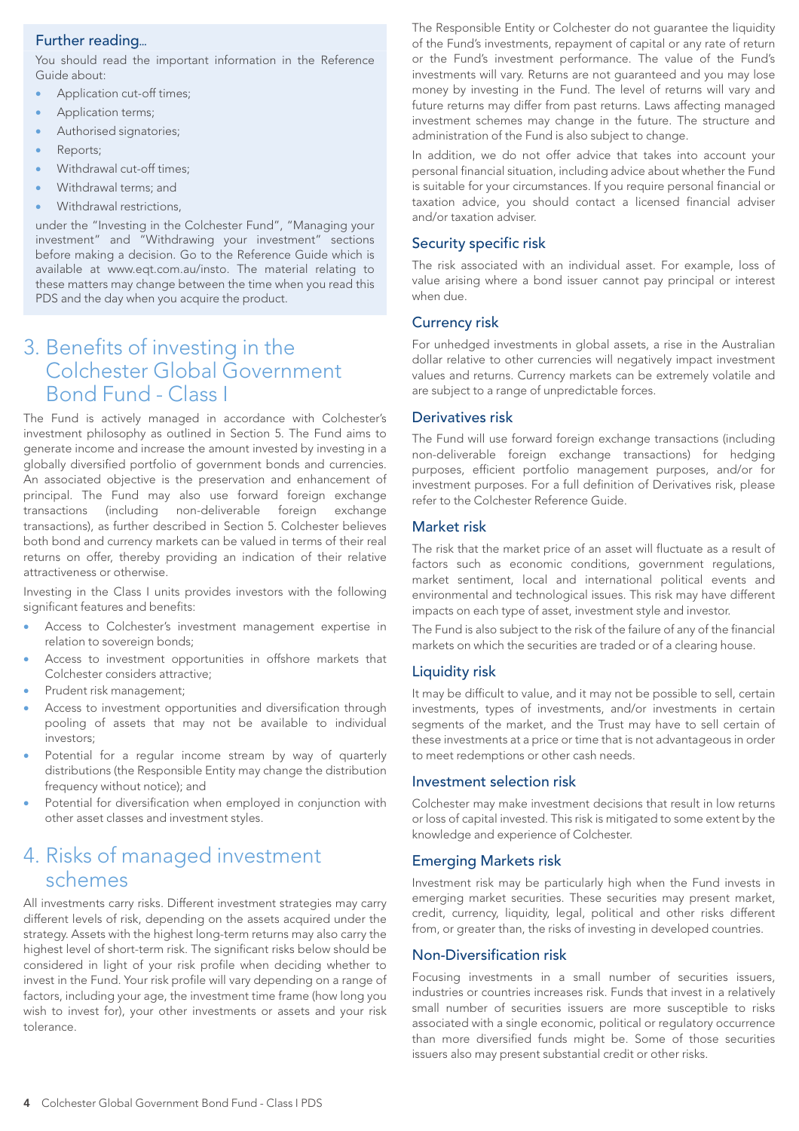# Further reading

You should read the important information in the Reference Guide about:

- Application cut-off times;
- Application terms;
- Authorised signatories;
- Reports;
- Withdrawal cut-off times;
- Withdrawal terms; and
- Withdrawal restrictions,

under the "Investing in the Colchester Fund", "Managing your investment" and "Withdrawing your investment" sections before making a decision. Go to the Reference Guide which is available at www.eqt.com.au/insto. The material relating to these matters may change between the time when you read this PDS and the day when you acquire the product.

# 3. Benefits of investing in the Colchester Global Government Bond Fund - Class I

The Fund is actively managed in accordance with Colchester's investment philosophy as outlined in Section 5. The Fund aims to generate income and increase the amount invested by investing in a globally diversified portfolio of government bonds and currencies. An associated objective is the preservation and enhancement of principal. The Fund may also use forward foreign exchange transactions (including non-deliverable foreign exchange transactions), as further described in Section 5. Colchester believes both bond and currency markets can be valued in terms of their real returns on offer, thereby providing an indication of their relative attractiveness or otherwise.

Investing in the Class I units provides investors with the following significant features and benefits:

- Access to Colchester's investment management expertise in relation to sovereign bonds;
- Access to investment opportunities in offshore markets that Colchester considers attractive;
- Prudent risk management;
- Access to investment opportunities and diversification through pooling of assets that may not be available to individual investors;
- Potential for a regular income stream by way of quarterly distributions (the Responsible Entity may change the distribution frequency without notice); and
- Potential for diversification when employed in conjunction with other asset classes and investment styles.

# 4. Risks of managed investment schemes

All investments carry risks. Different investment strategies may carry different levels of risk, depending on the assets acquired under the strategy. Assets with the highest long-term returns may also carry the highest level of short-term risk. The significant risks below should be considered in light of your risk profile when deciding whether to invest in the Fund. Your risk profile will vary depending on a range of factors, including your age, the investment time frame (how long you wish to invest for), your other investments or assets and your risk tolerance.

The Responsible Entity or Colchester do not guarantee the liquidity of the Fund's investments, repayment of capital or any rate of return or the Fund's investment performance. The value of the Fund's investments will vary. Returns are not guaranteed and you may lose money by investing in the Fund. The level of returns will vary and future returns may differ from past returns. Laws affecting managed investment schemes may change in the future. The structure and administration of the Fund is also subject to change.

In addition, we do not offer advice that takes into account your personal financial situation, including advice about whether the Fund is suitable for your circumstances. If you require personal financial or taxation advice, you should contact a licensed financial adviser and/or taxation adviser.

# Security specific risk

The risk associated with an individual asset. For example, loss of value arising where a bond issuer cannot pay principal or interest when due.

## Currency risk

For unhedged investments in global assets, a rise in the Australian dollar relative to other currencies will negatively impact investment values and returns. Currency markets can be extremely volatile and are subject to a range of unpredictable forces.

## Derivatives risk

The Fund will use forward foreign exchange transactions (including non-deliverable foreign exchange transactions) for hedging purposes, efficient portfolio management purposes, and/or for investment purposes. For a full definition of Derivatives risk, please refer to the Colchester Reference Guide.

## Market risk

The risk that the market price of an asset will fluctuate as a result of factors such as economic conditions, government regulations, market sentiment, local and international political events and environmental and technological issues. This risk may have different impacts on each type of asset, investment style and investor.

The Fund is also subject to the risk of the failure of any of the financial markets on which the securities are traded or of a clearing house.

# Liquidity risk

It may be difficult to value, and it may not be possible to sell, certain investments, types of investments, and/or investments in certain segments of the market, and the Trust may have to sell certain of these investments at a price or time that is not advantageous in order to meet redemptions or other cash needs.

#### Investment selection risk

Colchester may make investment decisions that result in low returns or loss of capital invested. This risk is mitigated to some extent by the knowledge and experience of Colchester.

# Emerging Markets risk

Investment risk may be particularly high when the Fund invests in emerging market securities. These securities may present market, credit, currency, liquidity, legal, political and other risks different from, or greater than, the risks of investing in developed countries.

#### Non-Diversification risk

Focusing investments in a small number of securities issuers, industries or countries increases risk. Funds that invest in a relatively small number of securities issuers are more susceptible to risks associated with a single economic, political or regulatory occurrence than more diversified funds might be. Some of those securities issuers also may present substantial credit or other risks.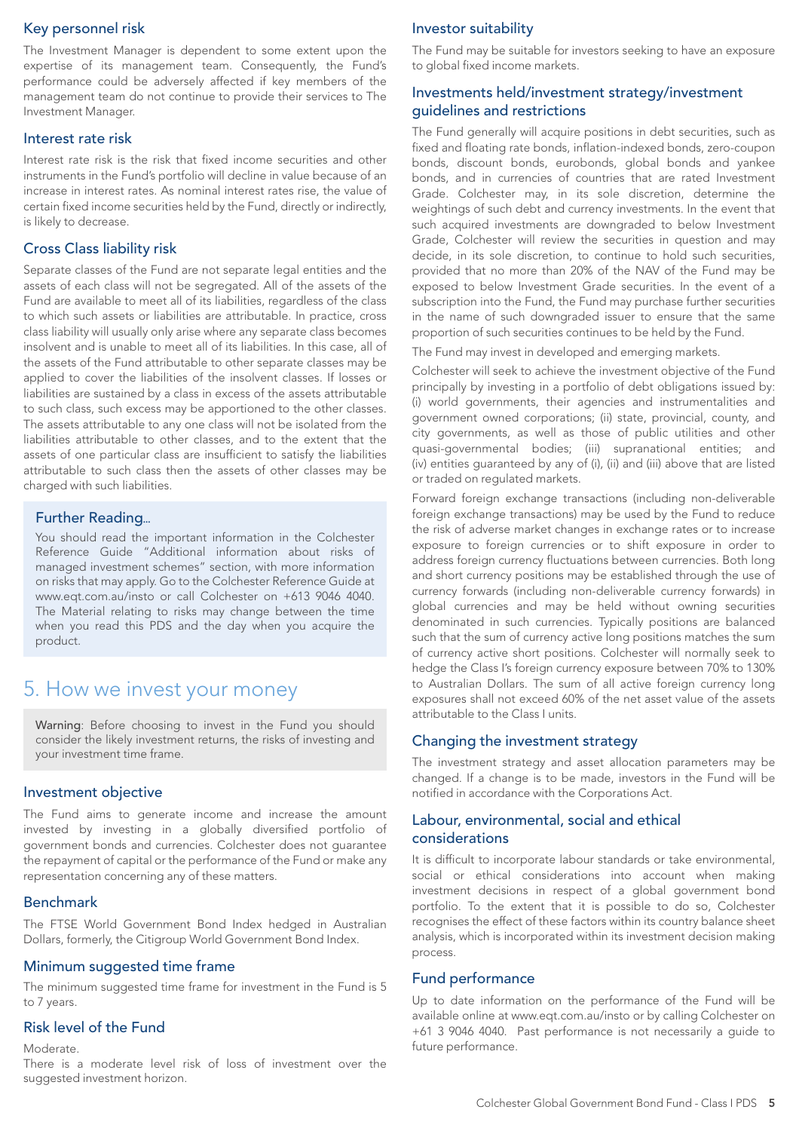# Key personnel risk

The Investment Manager is dependent to some extent upon the expertise of its management team. Consequently, the Fund's performance could be adversely affected if key members of the management team do not continue to provide their services to The Investment Manager.

# Interest rate risk

Interest rate risk is the risk that fixed income securities and other instruments in the Fund's portfolio will decline in value because of an increase in interest rates. As nominal interest rates rise, the value of certain fixed income securities held by the Fund, directly or indirectly, is likely to decrease.

# Cross Class liability risk

Separate classes of the Fund are not separate legal entities and the assets of each class will not be segregated. All of the assets of the Fund are available to meet all of its liabilities, regardless of the class to which such assets or liabilities are attributable. In practice, cross class liability will usually only arise where any separate class becomes insolvent and is unable to meet all of its liabilities. In this case, all of the assets of the Fund attributable to other separate classes may be applied to cover the liabilities of the insolvent classes. If losses or liabilities are sustained by a class in excess of the assets attributable to such class, such excess may be apportioned to the other classes. The assets attributable to any one class will not be isolated from the liabilities attributable to other classes, and to the extent that the assets of one particular class are insufficient to satisfy the liabilities attributable to such class then the assets of other classes may be charged with such liabilities.

## Further Reading

You should read the important information in the Colchester Reference Guide "Additional information about risks of managed investment schemes" section, with more information on risks that may apply. Go to the Colchester Reference Guide at www.eqt.com.au/insto or call Colchester on +613 9046 4040. The Material relating to risks may change between the time when you read this PDS and the day when you acquire the product.

# 5. How we invest your money

Warning: Before choosing to invest in the Fund you should consider the likely investment returns, the risks of investing and your investment time frame.

#### Investment objective

The Fund aims to generate income and increase the amount invested by investing in a globally diversified portfolio of government bonds and currencies. Colchester does not guarantee the repayment of capital or the performance of the Fund or make any representation concerning any of these matters.

#### Benchmark

The FTSE World Government Bond Index hedged in Australian Dollars, formerly, the Citigroup World Government Bond Index.

#### Minimum suggested time frame

The minimum suggested time frame for investment in the Fund is 5 to 7 years.

# Risk level of the Fund

#### Moderate.

There is a moderate level risk of loss of investment over the suggested investment horizon.

#### Investor suitability

The Fund may be suitable for investors seeking to have an exposure to global fixed income markets.

### Investments held/investment strategy/investment guidelines and restrictions

The Fund generally will acquire positions in debt securities, such as fixed and floating rate bonds, inflation-indexed bonds, zero-coupon bonds, discount bonds, eurobonds, global bonds and yankee bonds, and in currencies of countries that are rated Investment Grade. Colchester may, in its sole discretion, determine the weightings of such debt and currency investments. In the event that such acquired investments are downgraded to below Investment Grade, Colchester will review the securities in question and may decide, in its sole discretion, to continue to hold such securities, provided that no more than 20% of the NAV of the Fund may be exposed to below Investment Grade securities. In the event of a subscription into the Fund, the Fund may purchase further securities in the name of such downgraded issuer to ensure that the same proportion of such securities continues to be held by the Fund.

The Fund may invest in developed and emerging markets.

Colchester will seek to achieve the investment objective of the Fund principally by investing in a portfolio of debt obligations issued by: (i) world governments, their agencies and instrumentalities and government owned corporations; (ii) state, provincial, county, and city governments, as well as those of public utilities and other quasi-governmental bodies; (iii) supranational entities; and (iv) entities guaranteed by any of (i), (ii) and (iii) above that are listed or traded on regulated markets.

Forward foreign exchange transactions (including non-deliverable foreign exchange transactions) may be used by the Fund to reduce the risk of adverse market changes in exchange rates or to increase exposure to foreign currencies or to shift exposure in order to address foreign currency fluctuations between currencies. Both long and short currency positions may be established through the use of currency forwards (including non-deliverable currency forwards) in global currencies and may be held without owning securities denominated in such currencies. Typically positions are balanced such that the sum of currency active long positions matches the sum of currency active short positions. Colchester will normally seek to hedge the Class I's foreign currency exposure between 70% to 130% to Australian Dollars. The sum of all active foreign currency long exposures shall not exceed 60% of the net asset value of the assets attributable to the Class I units.

#### Changing the investment strategy

The investment strategy and asset allocation parameters may be changed. If a change is to be made, investors in the Fund will be notified in accordance with the Corporations Act.

#### Labour, environmental, social and ethical considerations

It is difficult to incorporate labour standards or take environmental, social or ethical considerations into account when making investment decisions in respect of a global government bond portfolio. To the extent that it is possible to do so, Colchester recognises the effect of these factors within its country balance sheet analysis, which is incorporated within its investment decision making process.

#### Fund performance

Up to date information on the performance of the Fund will be available online at www.eqt.com.au/insto or by calling Colchester on +61 3 9046 4040. Past performance is not necessarily a guide to future performance.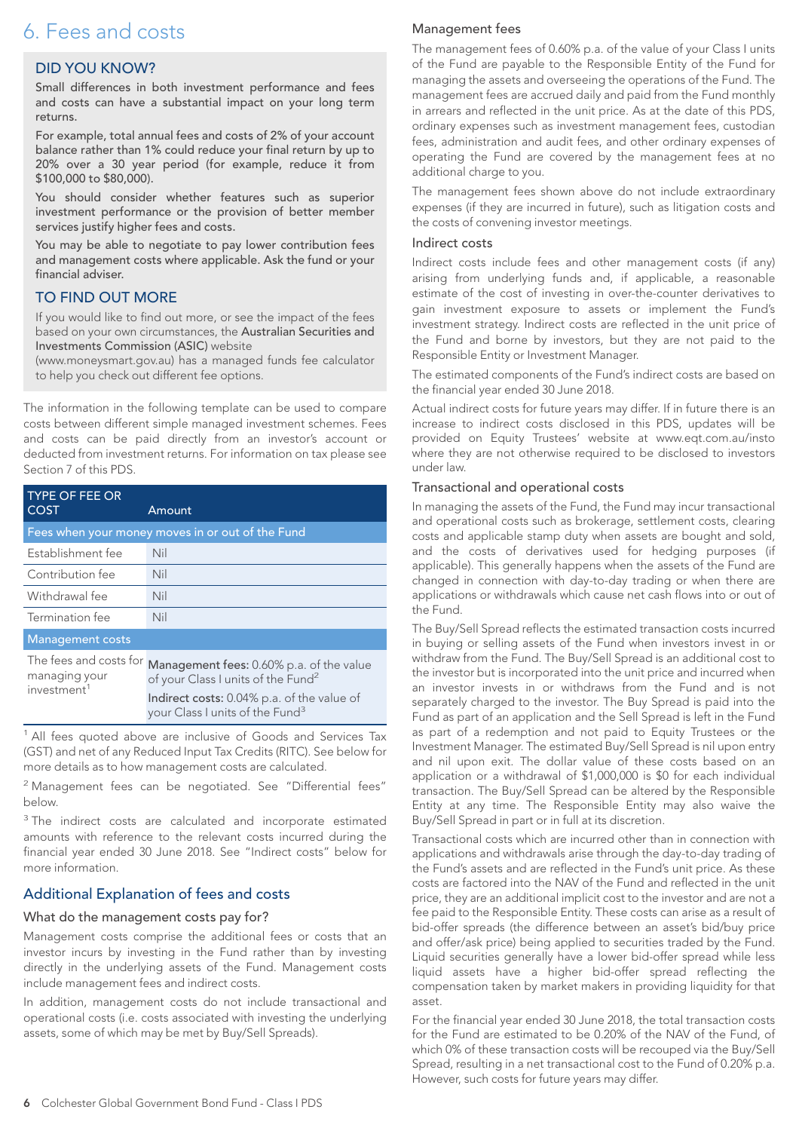# 6. Fees and costs

# DID YOU KNOW?

Small differences in both investment performance and fees and costs can have a substantial impact on your long term returns.

For example, total annual fees and costs of 2% of your account balance rather than 1% could reduce your final return by up to 20% over a 30 year period (for example, reduce it from \$100,000 to \$80,000).

You should consider whether features such as superior investment performance or the provision of better member services justify higher fees and costs.

You may be able to negotiate to pay lower contribution fees and management costs where applicable. Ask the fund or your financial adviser.

# TO FIND OUT MORE

If you would like to find out more, or see the impact of the fees based on your own circumstances, the Australian Securities and Investments Commission (ASIC) website

(www.moneysmart.gov.au) has a managed funds fee calculator to help you check out different fee options.

The information in the following template can be used to compare costs between different simple managed investment schemes. Fees and costs can be paid directly from an investor's account or deducted from investment returns. For information on tax please see Section 7 of this PDS.

| <b>TYPE OF FEE OR</b><br><b>COST</b>    | Amount                                                                                     |
|-----------------------------------------|--------------------------------------------------------------------------------------------|
|                                         | Fees when your money moves in or out of the Fund                                           |
| Establishment fee                       | Nil                                                                                        |
| Contribution fee                        | Nil                                                                                        |
| Withdrawal fee                          | Nil                                                                                        |
| Termination fee                         | Nil                                                                                        |
| <b>Management costs</b>                 |                                                                                            |
| The fees and costs for<br>managing your | Management fees: 0.60% p.a. of the value<br>of your Class I units of the Fund <sup>2</sup> |
| investment <sup>1</sup>                 | Indirect costs: 0.04% p.a. of the value of<br>your Class I units of the Fund <sup>3</sup>  |

<sup>1</sup> All fees quoted above are inclusive of Goods and Services Tax (GST) and net of any Reduced Input Tax Credits (RITC). See below for more details as to how management costs are calculated.

<sup>2</sup> Management fees can be negotiated. See "Differential fees" below.

<sup>3</sup> The indirect costs are calculated and incorporate estimated amounts with reference to the relevant costs incurred during the financial year ended 30 June 2018. See "Indirect costs" below for more information.

# Additional Explanation of fees and costs

#### What do the management costs pay for?

Management costs comprise the additional fees or costs that an investor incurs by investing in the Fund rather than by investing directly in the underlying assets of the Fund. Management costs include management fees and indirect costs.

In addition, management costs do not include transactional and operational costs (i.e. costs associated with investing the underlying assets, some of which may be met by Buy/Sell Spreads).

#### Management fees

The management fees of 0.60% p.a. of the value of your Class I units of the Fund are payable to the Responsible Entity of the Fund for managing the assets and overseeing the operations of the Fund. The management fees are accrued daily and paid from the Fund monthly in arrears and reflected in the unit price. As at the date of this PDS, ordinary expenses such as investment management fees, custodian fees, administration and audit fees, and other ordinary expenses of operating the Fund are covered by the management fees at no additional charge to you.

The management fees shown above do not include extraordinary expenses (if they are incurred in future), such as litigation costs and the costs of convening investor meetings.

#### Indirect costs

Indirect costs include fees and other management costs (if any) arising from underlying funds and, if applicable, a reasonable estimate of the cost of investing in over-the-counter derivatives to gain investment exposure to assets or implement the Fund's investment strategy. Indirect costs are reflected in the unit price of the Fund and borne by investors, but they are not paid to the Responsible Entity or Investment Manager.

The estimated components of the Fund's indirect costs are based on the financial year ended 30 June 2018.

Actual indirect costs for future years may differ. If in future there is an increase to indirect costs disclosed in this PDS, updates will be provided on Equity Trustees' website at www.eqt.com.au/insto where they are not otherwise required to be disclosed to investors under law.

#### Transactional and operational costs

In managing the assets of the Fund, the Fund may incur transactional and operational costs such as brokerage, settlement costs, clearing costs and applicable stamp duty when assets are bought and sold, and the costs of derivatives used for hedging purposes (if applicable). This generally happens when the assets of the Fund are changed in connection with day-to-day trading or when there are applications or withdrawals which cause net cash flows into or out of the Fund.

The Buy/Sell Spread reflects the estimated transaction costs incurred in buying or selling assets of the Fund when investors invest in or withdraw from the Fund. The Buy/Sell Spread is an additional cost to the investor but is incorporated into the unit price and incurred when an investor invests in or withdraws from the Fund and is not separately charged to the investor. The Buy Spread is paid into the Fund as part of an application and the Sell Spread is left in the Fund as part of a redemption and not paid to Equity Trustees or the Investment Manager. The estimated Buy/Sell Spread is nil upon entry and nil upon exit. The dollar value of these costs based on an application or a withdrawal of \$1,000,000 is \$0 for each individual transaction. The Buy/Sell Spread can be altered by the Responsible Entity at any time. The Responsible Entity may also waive the Buy/Sell Spread in part or in full at its discretion.

Transactional costs which are incurred other than in connection with applications and withdrawals arise through the day-to-day trading of the Fund's assets and are reflected in the Fund's unit price. As these costs are factored into the NAV of the Fund and reflected in the unit price, they are an additional implicit cost to the investor and are not a fee paid to the Responsible Entity. These costs can arise as a result of bid-offer spreads (the difference between an asset's bid/buy price and offer/ask price) being applied to securities traded by the Fund. Liquid securities generally have a lower bid-offer spread while less liquid assets have a higher bid-offer spread reflecting the compensation taken by market makers in providing liquidity for that asset.

For the financial year ended 30 June 2018, the total transaction costs for the Fund are estimated to be 0.20% of the NAV of the Fund, of which 0% of these transaction costs will be recouped via the Buy/Sell Spread, resulting in a net transactional cost to the Fund of 0.20% p.a. However, such costs for future years may differ.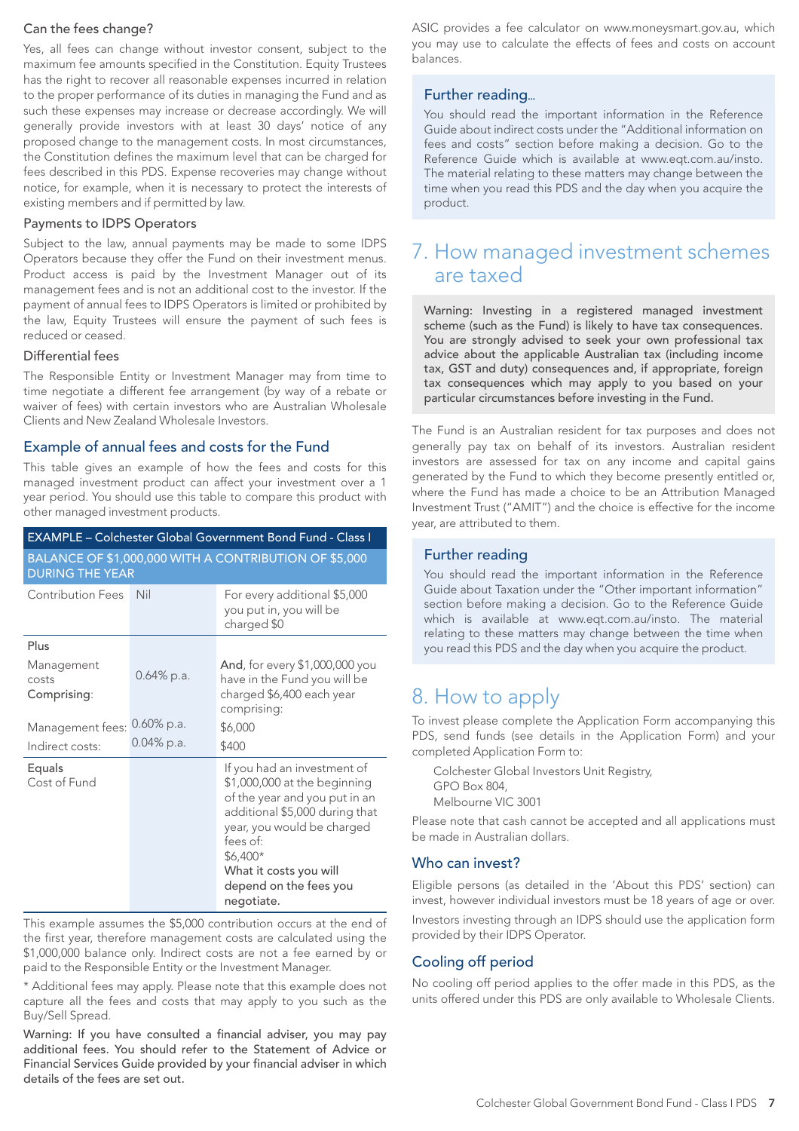### Can the fees change?

Yes, all fees can change without investor consent, subject to the maximum fee amounts specified in the Constitution. Equity Trustees has the right to recover all reasonable expenses incurred in relation to the proper performance of its duties in managing the Fund and as such these expenses may increase or decrease accordingly. We will generally provide investors with at least 30 days' notice of any proposed change to the management costs. In most circumstances, the Constitution defines the maximum level that can be charged for fees described in this PDS. Expense recoveries may change without notice, for example, when it is necessary to protect the interests of existing members and if permitted by law.

#### Payments to IDPS Operators

Subject to the law, annual payments may be made to some IDPS Operators because they offer the Fund on their investment menus. Product access is paid by the Investment Manager out of its management fees and is not an additional cost to the investor. If the payment of annual fees to IDPS Operators is limited or prohibited by the law, Equity Trustees will ensure the payment of such fees is reduced or ceased.

#### Differential fees

The Responsible Entity or Investment Manager may from time to time negotiate a different fee arrangement (by way of a rebate or waiver of fees) with certain investors who are Australian Wholesale Clients and New Zealand Wholesale Investors.

#### Example of annual fees and costs for the Fund

This table gives an example of how the fees and costs for this managed investment product can affect your investment over a 1 year period. You should use this table to compare this product with other managed investment products.

|                                    |               | <b>EXAMPLE - Colchester Global Government Bond Fund - Class I</b>                                                                                                                                                                                      |
|------------------------------------|---------------|--------------------------------------------------------------------------------------------------------------------------------------------------------------------------------------------------------------------------------------------------------|
| <b>DURING THE YEAR</b>             |               | BALANCE OF \$1,000,000 WITH A CONTRIBUTION OF \$5,000                                                                                                                                                                                                  |
| <b>Contribution Fees</b>           | Nil           | For every additional \$5,000<br>you put in, you will be<br>charged \$0                                                                                                                                                                                 |
| Plus                               |               |                                                                                                                                                                                                                                                        |
| Management<br>costs<br>Comprising: | $0.64\%$ p.a. | And, for every \$1,000,000 you<br>have in the Fund you will be<br>charged \$6,400 each year<br>comprising:                                                                                                                                             |
| Management fees:                   | $0.60\%$ p.a. | \$6,000                                                                                                                                                                                                                                                |
| Indirect costs:                    | $0.04\%$ p.a. | \$400                                                                                                                                                                                                                                                  |
| Equals<br>Cost of Fund             |               | If you had an investment of<br>\$1,000,000 at the beginning<br>of the year and you put in an<br>additional \$5,000 during that<br>year, you would be charged<br>fees of:<br>\$6,400*<br>What it costs you will<br>depend on the fees you<br>negotiate. |

This example assumes the \$5,000 contribution occurs at the end of the first year, therefore management costs are calculated using the \$1,000,000 balance only. Indirect costs are not a fee earned by or paid to the Responsible Entity or the Investment Manager.

\* Additional fees may apply. Please note that this example does not capture all the fees and costs that may apply to you such as the Buy/Sell Spread.

Warning: If you have consulted a financial adviser, you may pay additional fees. You should refer to the Statement of Advice or Financial Services Guide provided by your financial adviser in which details of the fees are set out.

ASIC provides a fee calculator on www.moneysmart.gov.au, which you may use to calculate the effects of fees and costs on account balances.

# Further reading

You should read the important information in the Reference Guide about indirect costs under the "Additional information on fees and costs" section before making a decision. Go to the Reference Guide which is available at www.eqt.com.au/insto. The material relating to these matters may change between the time when you read this PDS and the day when you acquire the product.

# 7. How managed investment schemes are taxed

Warning: Investing in a registered managed investment scheme (such as the Fund) is likely to have tax consequences. You are strongly advised to seek your own professional tax advice about the applicable Australian tax (including income tax, GST and duty) consequences and, if appropriate, foreign tax consequences which may apply to you based on your particular circumstances before investing in the Fund.

The Fund is an Australian resident for tax purposes and does not generally pay tax on behalf of its investors. Australian resident investors are assessed for tax on any income and capital gains generated by the Fund to which they become presently entitled or, where the Fund has made a choice to be an Attribution Managed Investment Trust ("AMIT") and the choice is effective for the income year, are attributed to them.

## Further reading

You should read the important information in the Reference Guide about Taxation under the "Other important information" section before making a decision. Go to the Reference Guide which is available at www.eqt.com.au/insto. The material relating to these matters may change between the time when you read this PDS and the day when you acquire the product.

# 8. How to apply

To invest please complete the Application Form accompanying this PDS, send funds (see details in the Application Form) and your completed Application Form to:

Colchester Global Investors Unit Registry, GPO Box 804, Melbourne VIC 3001

Please note that cash cannot be accepted and all applications must be made in Australian dollars.

#### Who can invest?

Eligible persons (as detailed in the 'About this PDS' section) can invest, however individual investors must be 18 years of age or over. Investors investing through an IDPS should use the application form provided by their IDPS Operator.

# Cooling off period

No cooling off period applies to the offer made in this PDS, as the units offered under this PDS are only available to Wholesale Clients.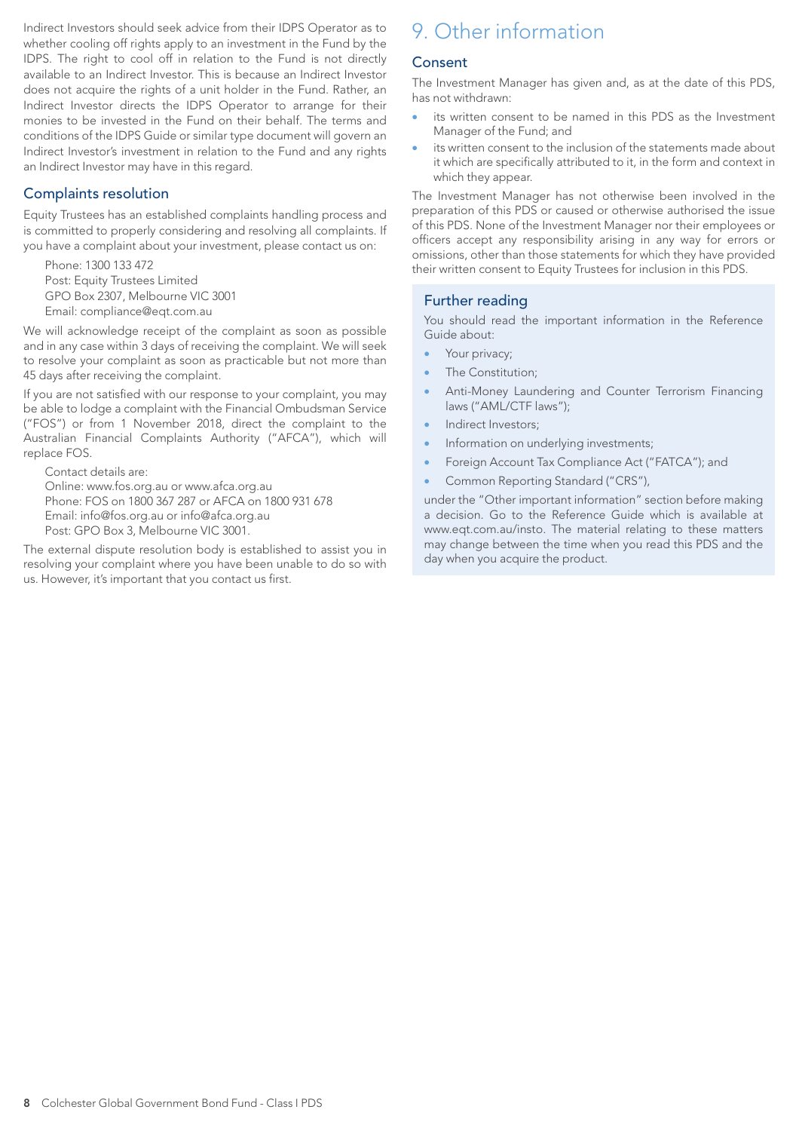Indirect Investors should seek advice from their IDPS Operator as to whether cooling off rights apply to an investment in the Fund by the IDPS. The right to cool off in relation to the Fund is not directly available to an Indirect Investor. This is because an Indirect Investor does not acquire the rights of a unit holder in the Fund. Rather, an Indirect Investor directs the IDPS Operator to arrange for their monies to be invested in the Fund on their behalf. The terms and conditions of the IDPS Guide or similar type document will govern an Indirect Investor's investment in relation to the Fund and any rights an Indirect Investor may have in this regard.

# Complaints resolution

Equity Trustees has an established complaints handling process and is committed to properly considering and resolving all complaints. If you have a complaint about your investment, please contact us on:

Phone: 1300 133 472 Post: Equity Trustees Limited GPO Box 2307, Melbourne VIC 3001 Email: compliance@eqt.com.au

We will acknowledge receipt of the complaint as soon as possible and in any case within 3 days of receiving the complaint. We will seek to resolve your complaint as soon as practicable but not more than 45 days after receiving the complaint.

If you are not satisfied with our response to your complaint, you may be able to lodge a complaint with the Financial Ombudsman Service ("FOS") or from 1 November 2018, direct the complaint to the Australian Financial Complaints Authority ("AFCA"), which will replace FOS.

Contact details are: Online: www.fos.org.au or www.afca.org.au Phone: FOS on 1800 367 287 or AFCA on 1800 931 678 Email: info@fos.org.au or info@afca.org.au Post: GPO Box 3, Melbourne VIC 3001.

The external dispute resolution body is established to assist you in resolving your complaint where you have been unable to do so with us. However, it's important that you contact us first.

# 9. Other information

# Consent

The Investment Manager has given and, as at the date of this PDS, has not withdrawn:

- its written consent to be named in this PDS as the Investment Manager of the Fund; and
- its written consent to the inclusion of the statements made about it which are specifically attributed to it, in the form and context in which they appear.

The Investment Manager has not otherwise been involved in the preparation of this PDS or caused or otherwise authorised the issue of this PDS. None of the Investment Manager nor their employees or officers accept any responsibility arising in any way for errors or omissions, other than those statements for which they have provided their written consent to Equity Trustees for inclusion in this PDS.

# Further reading

You should read the important information in the Reference Guide about:

- Your privacy;
- The Constitution;
- Anti-Money Laundering and Counter Terrorism Financing laws ("AML/CTF laws");
- Indirect Investors;
- Information on underlying investments;
- Foreign Account Tax Compliance Act ("FATCA"); and
- Common Reporting Standard ("CRS"),

under the "Other important information" section before making a decision. Go to the Reference Guide which is available at www.eqt.com.au/insto. The material relating to these matters may change between the time when you read this PDS and the day when you acquire the product.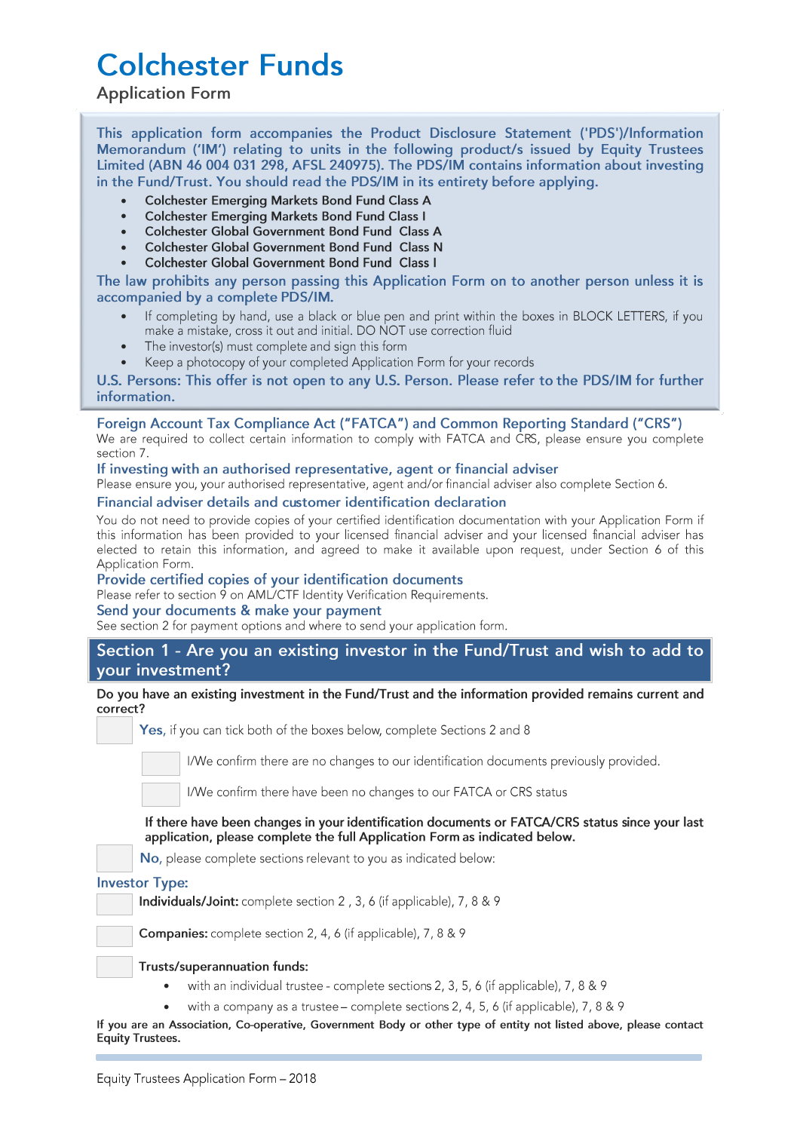# **Colchester Funds**

# **Application Form**

This application form accompanies the Product Disclosure Statement ('PDS')/Information Memorandum ('IM') relating to units in the following product/s issued by Equity Trustees Limited (ABN 46 004 031 298, AFSL 240975). The PDS/IM contains information about investing in the Fund/Trust. You should read the PDS/IM in its entirety before applying.

- **Colchester Emerging Markets Bond Fund Class A**
- **Colchester Emerging Markets Bond Fund Class I**
- Colchester Global Government Bond Fund Class A
- Colchester Global Government Bond Fund Class N
- Colchester Global Government Bond Fund Class I

The law prohibits any person passing this Application Form on to another person unless it is accompanied by a complete PDS/IM.

- If completing by hand, use a black or blue pen and print within the boxes in BLOCK LETTERS, if you make a mistake, cross it out and initial. DO NOT use correction fluid
- The investor(s) must complete and sign this form
- Keep a photocopy of your completed Application Form for your records

U.S. Persons: This offer is not open to any U.S. Person. Please refer to the PDS/IM for further information.

# Foreign Account Tax Compliance Act ("FATCA") and Common Reporting Standard ("CRS")

We are required to collect certain information to comply with FATCA and CRS, please ensure you complete section 7.

## If investing with an authorised representative, agent or financial adviser

Please ensure you, your authorised representative, agent and/or financial adviser also complete Section 6.

#### Financial adviser details and customer identification declaration

You do not need to provide copies of your certified identification documentation with your Application Form if this information has been provided to your licensed financial adviser and your licensed financial adviser has<br>elected to retain this information, and agreed to make it available upon request, under Section 6 of this Application Form.

#### Provide certified copies of your identification documents

Please refer to section 9 on AML/CTF Identity Verification Requirements.

#### Send your documents & make your payment

See section 2 for payment options and where to send your application form.

# Section 1 - Are you an existing investor in the Fund/Trust and wish to add to vour investment?

#### Do you have an existing investment in the Fund/Trust and the information provided remains current and correct?

Yes, if you can tick both of the boxes below, complete Sections 2 and 8

I/We confirm there are no changes to our identification documents previously provided.

I/We confirm there have been no changes to our FATCA or CRS status

If there have been changes in your identification documents or FATCA/CRS status since your last application, please complete the full Application Form as indicated below.

No, please complete sections relevant to you as indicated below:

#### **Investor Type:**

Individuals/Joint: complete section 2, 3, 6 (if applicable), 7, 8 & 9

Companies: complete section 2, 4, 6 (if applicable), 7, 8 & 9

#### Trusts/superannuation funds:

- with an individual trustee complete sections 2, 3, 5, 6 (if applicable), 7, 8 & 9
- with a company as a trustee complete sections 2, 4, 5, 6 (if applicable), 7, 8 & 9

If you are an Association, Co-operative, Government Body or other type of entity not listed above, please contact **Equity Trustees.**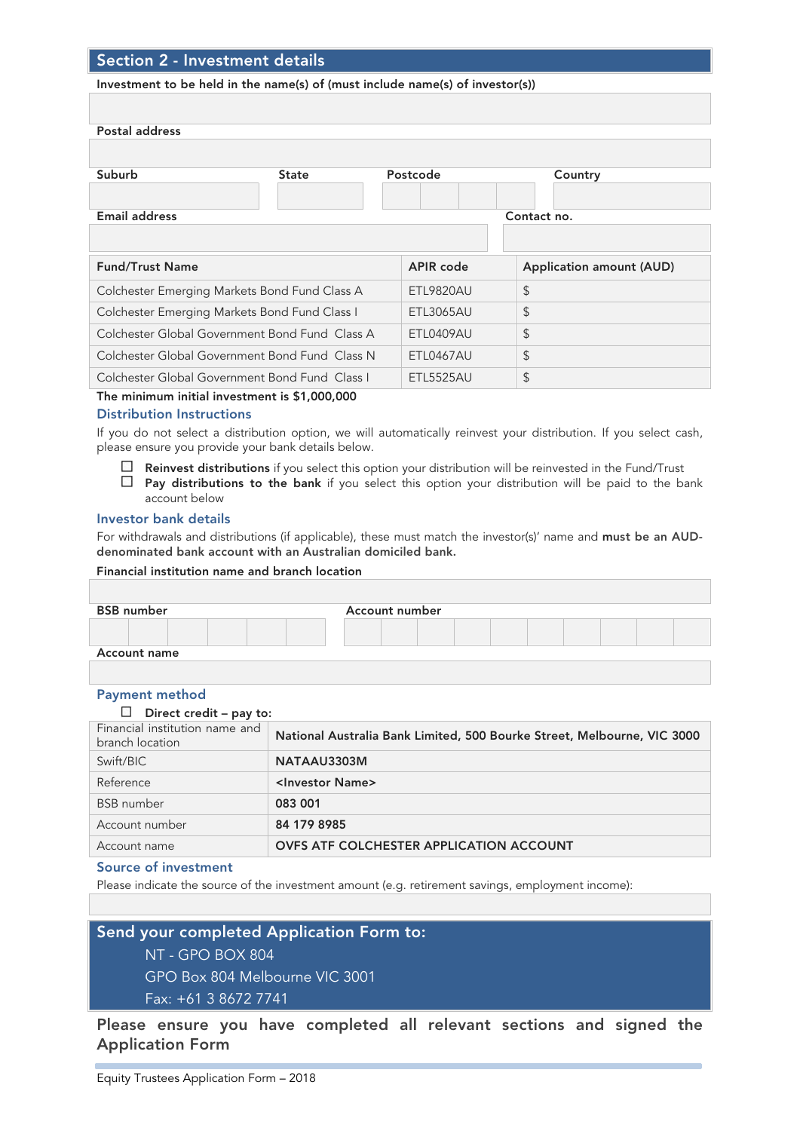# Section 2 - Investment details

#### Investment to be held in the name(s) of (must include name(s) of investor(s))

| Postal address                                 |              |                  |                                 |
|------------------------------------------------|--------------|------------------|---------------------------------|
|                                                |              |                  |                                 |
| Suburb                                         | <b>State</b> | Postcode         | Country                         |
|                                                |              |                  |                                 |
| <b>Email address</b>                           |              |                  | Contact no.                     |
|                                                |              |                  |                                 |
| <b>Fund/Trust Name</b>                         |              | <b>APIR</b> code | <b>Application amount (AUD)</b> |
| Colchester Emerging Markets Bond Fund Class A  |              | <b>ETL9820AU</b> | \$                              |
| Colchester Emerging Markets Bond Fund Class I  |              | ETL3065AU        | \$                              |
| Colchester Global Government Bond Fund Class A |              | ETL0409AU        | \$                              |
| Colchester Global Government Bond Fund Class N |              | ETL0467AU        | \$                              |
| Colchester Global Government Bond Fund Class I |              | <b>ETL5525AU</b> | \$                              |

The minimum initial investment is \$1,000,000

#### Distribution Instructions

If you do not select a distribution option, we will automatically reinvest your distribution. If you select cash, please ensure you provide your bank details below.

- $\Box$  Reinvest distributions if you select this option your distribution will be reinvested in the Fund/Trust
- $\Box$  Pay distributions to the bank if you select this option your distribution will be paid to the bank account below

#### Investor bank details

For withdrawals and distributions (if applicable), these must match the investor(s)' name and must be an AUDdenominated bank account with an Australian domiciled bank.

#### Financial institution name and branch location

| <b>BSB</b> number   |  |  |  | Account number |  |  |  |  |
|---------------------|--|--|--|----------------|--|--|--|--|
|                     |  |  |  |                |  |  |  |  |
| <b>Account name</b> |  |  |  |                |  |  |  |  |
|                     |  |  |  |                |  |  |  |  |

#### Payment method

#### $\Box$  Direct credit – pay to:

| Financial institution name and<br>branch location | National Australia Bank Limited, 500 Bourke Street, Melbourne, VIC 3000 |
|---------------------------------------------------|-------------------------------------------------------------------------|
| Swift/BIC                                         | NATAAU3303M                                                             |
| Reference                                         | <investor name=""></investor>                                           |
| <b>BSB</b> number                                 | 083 001                                                                 |
| Account number                                    | 84 179 8985                                                             |
| Account name                                      | <b>OVFS ATF COLCHESTER APPLICATION ACCOUNT</b>                          |

#### Source of investment

Please indicate the source of the investment amount (e.g. retirement savings, employment income):

### Send your completed Application Form to:

NT - GPO BOX 804

GPO Box 804 Melbourne VIC 3001

Fax: +61 3 8672 7741

Please ensure you have completed all relevant sections and signed the Application Form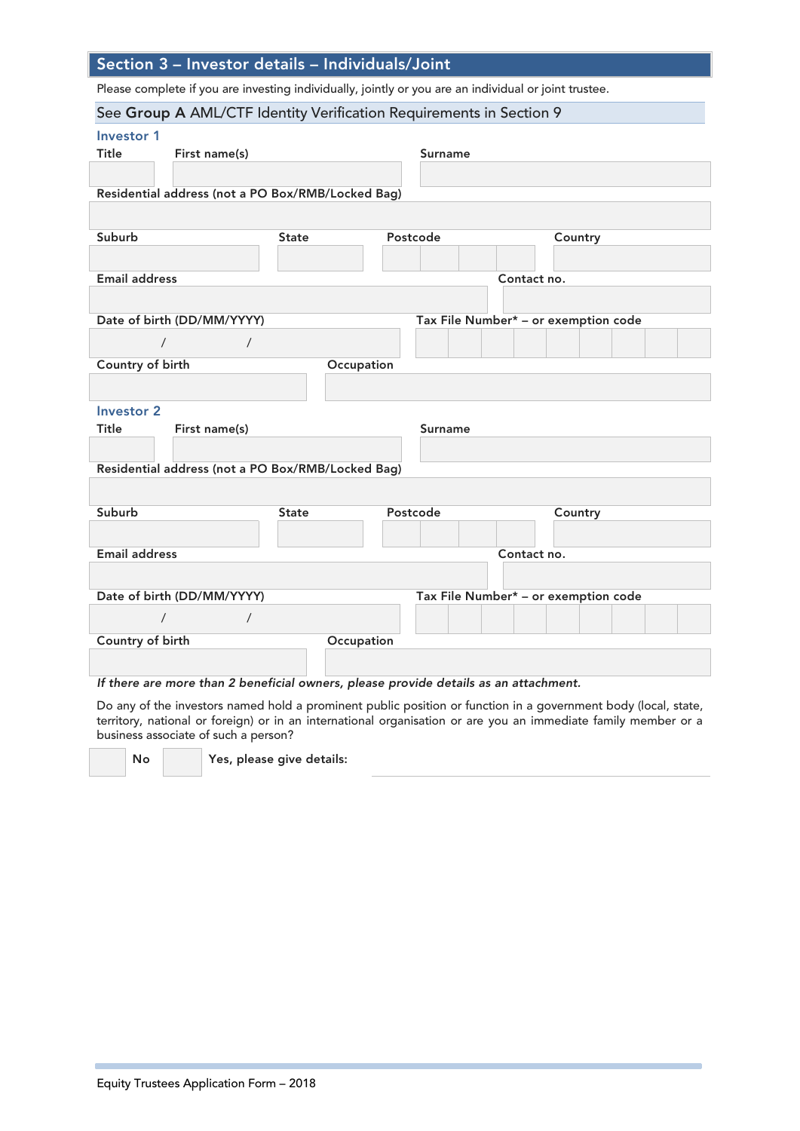# Section 3 – Investor details – Individuals/Joint

Please complete if you are investing individually, jointly or you are an individual or joint trustee.

| See Group A AML/CTF Identity Verification Requirements in Section 9                  |              |                |                                                                                                                    |
|--------------------------------------------------------------------------------------|--------------|----------------|--------------------------------------------------------------------------------------------------------------------|
| <b>Investor 1</b>                                                                    |              |                |                                                                                                                    |
| First name(s)<br>Title                                                               |              | <b>Surname</b> |                                                                                                                    |
|                                                                                      |              |                |                                                                                                                    |
| Residential address (not a PO Box/RMB/Locked Bag)                                    |              |                |                                                                                                                    |
|                                                                                      |              |                |                                                                                                                    |
| Suburb                                                                               | <b>State</b> | Postcode       | Country                                                                                                            |
|                                                                                      |              |                |                                                                                                                    |
| <b>Email address</b>                                                                 |              |                | Contact no.                                                                                                        |
|                                                                                      |              |                |                                                                                                                    |
| Date of birth (DD/MM/YYYY)                                                           |              |                | Tax File Number* - or exemption code                                                                               |
| $\prime$<br>$\prime$                                                                 |              |                |                                                                                                                    |
| Country of birth                                                                     | Occupation   |                |                                                                                                                    |
|                                                                                      |              |                |                                                                                                                    |
| <b>Investor 2</b>                                                                    |              |                |                                                                                                                    |
| First name(s)<br>Title                                                               |              | <b>Surname</b> |                                                                                                                    |
|                                                                                      |              |                |                                                                                                                    |
| Residential address (not a PO Box/RMB/Locked Bag)                                    |              |                |                                                                                                                    |
|                                                                                      |              |                |                                                                                                                    |
| Suburb                                                                               | <b>State</b> | Postcode       | Country                                                                                                            |
|                                                                                      |              |                |                                                                                                                    |
| <b>Email address</b>                                                                 |              |                | Contact no.                                                                                                        |
|                                                                                      |              |                |                                                                                                                    |
| Date of birth (DD/MM/YYYY)                                                           |              |                | Tax File Number* - or exemption code                                                                               |
| $\prime$<br>$\prime$                                                                 |              |                |                                                                                                                    |
| Country of birth                                                                     | Occupation   |                |                                                                                                                    |
|                                                                                      |              |                |                                                                                                                    |
| If there are more than 2 beneficial owners, please provide details as an attachment. |              |                |                                                                                                                    |
|                                                                                      |              |                | De encodida incretore nomeditatal e nominent multiplesitica estimation in e nocembre de la alcelle de la del stato |

Do any of the investors named hold a prominent public position or function in a government body (local, state, territory, national or foreign) or in an international organisation or are you an immediate family member or a business associate of such a person?

No Yes, please give details: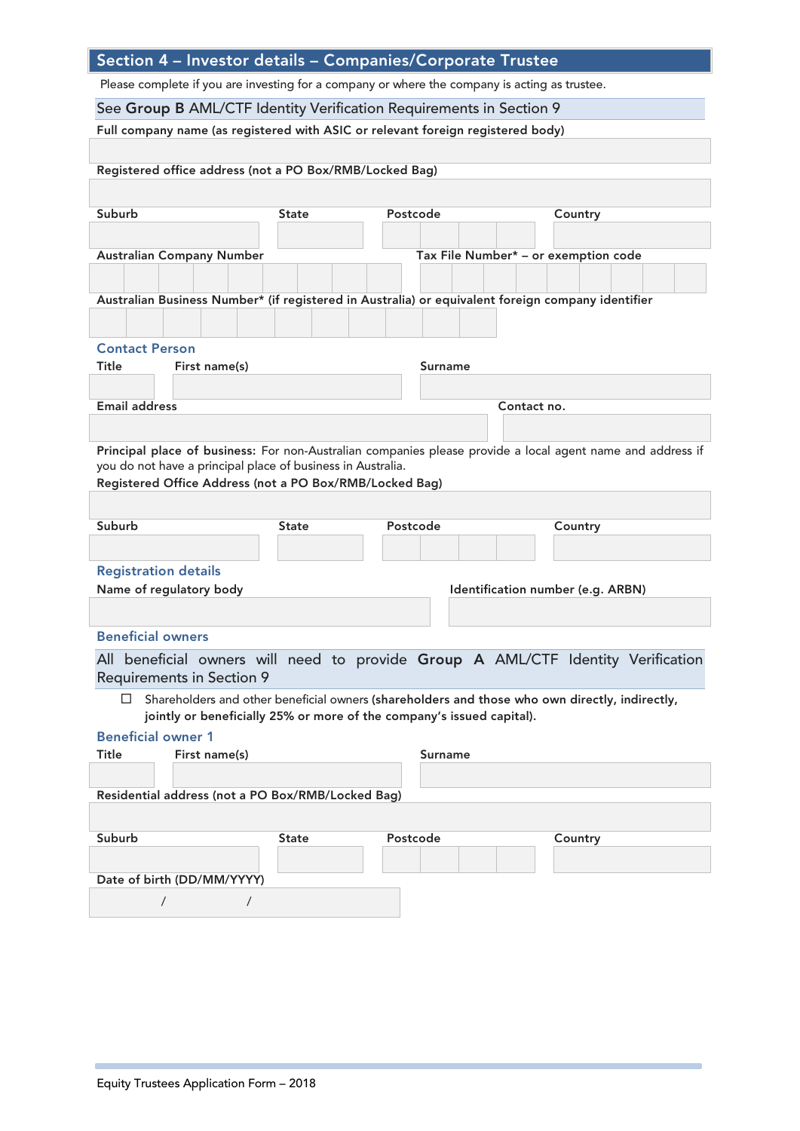| Section 4 - Investor details - Companies/Corporate Trustee                                        |              |                                                                       |                                                                                                            |
|---------------------------------------------------------------------------------------------------|--------------|-----------------------------------------------------------------------|------------------------------------------------------------------------------------------------------------|
| Please complete if you are investing for a company or where the company is acting as trustee.     |              |                                                                       |                                                                                                            |
| See Group B AML/CTF Identity Verification Requirements in Section 9                               |              |                                                                       |                                                                                                            |
| Full company name (as registered with ASIC or relevant foreign registered body)                   |              |                                                                       |                                                                                                            |
|                                                                                                   |              |                                                                       |                                                                                                            |
| Registered office address (not a PO Box/RMB/Locked Bag)                                           |              |                                                                       |                                                                                                            |
|                                                                                                   |              |                                                                       |                                                                                                            |
| Suburb                                                                                            | <b>State</b> | Postcode                                                              | Country                                                                                                    |
|                                                                                                   |              |                                                                       |                                                                                                            |
| <b>Australian Company Number</b>                                                                  |              |                                                                       | Tax File Number* - or exemption code                                                                       |
|                                                                                                   |              |                                                                       |                                                                                                            |
| Australian Business Number* (if registered in Australia) or equivalent foreign company identifier |              |                                                                       |                                                                                                            |
|                                                                                                   |              |                                                                       |                                                                                                            |
| <b>Contact Person</b>                                                                             |              |                                                                       |                                                                                                            |
| Title<br>First name(s)                                                                            |              | Surname                                                               |                                                                                                            |
| <b>Email address</b>                                                                              |              |                                                                       | Contact no.                                                                                                |
|                                                                                                   |              |                                                                       |                                                                                                            |
|                                                                                                   |              |                                                                       |                                                                                                            |
| you do not have a principal place of business in Australia.                                       |              |                                                                       | Principal place of business: For non-Australian companies please provide a local agent name and address if |
| Registered Office Address (not a PO Box/RMB/Locked Bag)                                           |              |                                                                       |                                                                                                            |
|                                                                                                   |              |                                                                       |                                                                                                            |
| Suburb                                                                                            | <b>State</b> | Postcode                                                              | Country                                                                                                    |
|                                                                                                   |              |                                                                       |                                                                                                            |
| <b>Registration details</b>                                                                       |              |                                                                       |                                                                                                            |
| Name of regulatory body                                                                           |              |                                                                       | Identification number (e.g. ARBN)                                                                          |
|                                                                                                   |              |                                                                       |                                                                                                            |
| <b>Beneficial owners</b>                                                                          |              |                                                                       |                                                                                                            |
|                                                                                                   |              |                                                                       | All beneficial owners will need to provide Group A AML/CTF Identity Verification                           |
| <b>Requirements in Section 9</b>                                                                  |              |                                                                       |                                                                                                            |
| $\alpha$                                                                                          |              |                                                                       | Shareholders and other beneficial owners (shareholders and those who own directly, indirectly,             |
|                                                                                                   |              | jointly or beneficially 25% or more of the company's issued capital). |                                                                                                            |
| <b>Beneficial owner 1</b><br>Title<br>First name(s)                                               |              | <b>Surname</b>                                                        |                                                                                                            |
|                                                                                                   |              |                                                                       |                                                                                                            |
| Residential address (not a PO Box/RMB/Locked Bag)                                                 |              |                                                                       |                                                                                                            |
|                                                                                                   |              |                                                                       |                                                                                                            |
| Suburb                                                                                            | <b>State</b> | Postcode                                                              | Country                                                                                                    |
|                                                                                                   |              |                                                                       |                                                                                                            |
| Date of birth (DD/MM/YYYY)                                                                        |              |                                                                       |                                                                                                            |
| $\prime$<br>$\prime$                                                                              |              |                                                                       |                                                                                                            |
|                                                                                                   |              |                                                                       |                                                                                                            |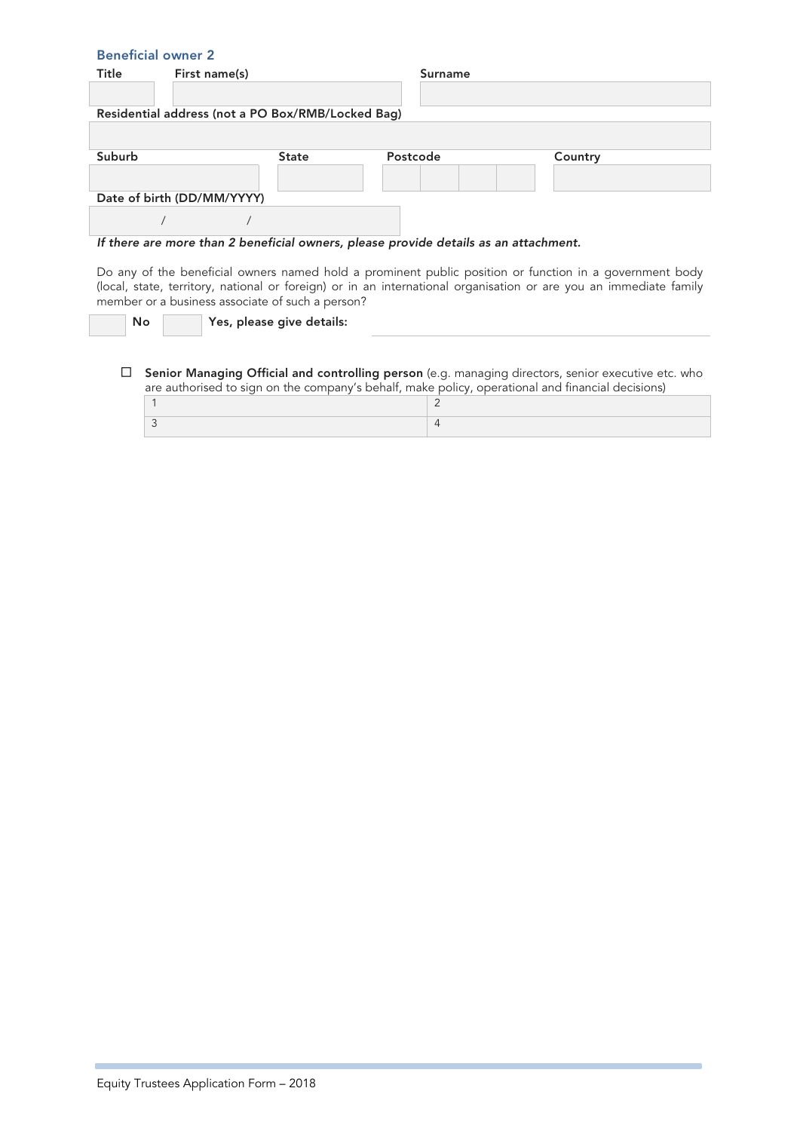| <b>Beneficial owner 2</b> |                                                   |              |                                                                                      |                                                                                                                                                                                                                          |
|---------------------------|---------------------------------------------------|--------------|--------------------------------------------------------------------------------------|--------------------------------------------------------------------------------------------------------------------------------------------------------------------------------------------------------------------------|
| Title                     | First name(s)                                     |              | <b>Surname</b>                                                                       |                                                                                                                                                                                                                          |
|                           |                                                   |              |                                                                                      |                                                                                                                                                                                                                          |
|                           | Residential address (not a PO Box/RMB/Locked Bag) |              |                                                                                      |                                                                                                                                                                                                                          |
|                           |                                                   |              |                                                                                      |                                                                                                                                                                                                                          |
|                           |                                                   |              |                                                                                      |                                                                                                                                                                                                                          |
| Suburb                    |                                                   | <b>State</b> | Postcode                                                                             | Country                                                                                                                                                                                                                  |
|                           |                                                   |              |                                                                                      |                                                                                                                                                                                                                          |
|                           | Date of birth (DD/MM/YYYY)                        |              |                                                                                      |                                                                                                                                                                                                                          |
|                           |                                                   |              |                                                                                      |                                                                                                                                                                                                                          |
|                           |                                                   |              |                                                                                      |                                                                                                                                                                                                                          |
|                           |                                                   |              | If there are more than 2 beneficial owners, please provide details as an attachment. |                                                                                                                                                                                                                          |
|                           |                                                   |              |                                                                                      | Do any of the beneficial owners named hold a prominent public position or function in a government body<br>local state territory national or foreign) or in an international organisation or are vou an immediate family |

(local, state, territory, national or foreign) or in an international organisation or are you an immediate family member or a business associate of such a person?

No **Yes**, please give details:

Senior Managing Official and controlling person (e.g. managing directors, senior executive etc. who are authorised to sign on the company's behalf, make policy, operational and financial decisions)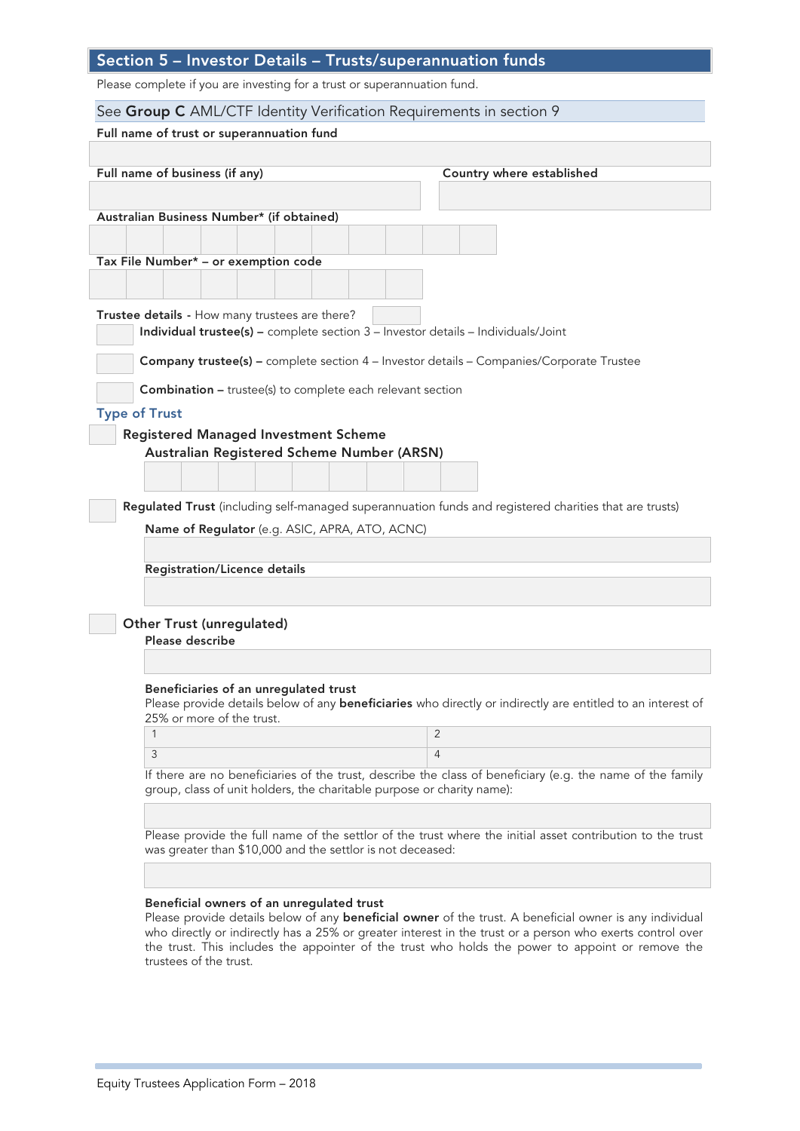# Section 5 – Investor Details – Trusts/superannuation funds

Please complete if you are investing for a trust or superannuation fund.

| See Group C AML/CTF Identity Verification Requirements in section 9                                                |                           |
|--------------------------------------------------------------------------------------------------------------------|---------------------------|
| Full name of trust or superannuation fund                                                                          |                           |
|                                                                                                                    |                           |
| Full name of business (if any)                                                                                     | Country where established |
|                                                                                                                    |                           |
| Australian Business Number* (if obtained)                                                                          |                           |
|                                                                                                                    |                           |
| Tax File Number* - or exemption code                                                                               |                           |
|                                                                                                                    |                           |
| Trustee details - How many trustees are there?                                                                     |                           |
| Individual trustee(s) - complete section $3$ - Investor details - Individuals/Joint                                |                           |
|                                                                                                                    |                           |
| <b>Company trustee(s)</b> - complete section 4 - Investor details - Companies/Corporate Trustee                    |                           |
| <b>Combination - trustee(s) to complete each relevant section</b>                                                  |                           |
| <b>Type of Trust</b>                                                                                               |                           |
| <b>Registered Managed Investment Scheme</b>                                                                        |                           |
| Australian Registered Scheme Number (ARSN)                                                                         |                           |
|                                                                                                                    |                           |
|                                                                                                                    |                           |
| Regulated Trust (including self-managed superannuation funds and registered charities that are trusts)             |                           |
| Name of Regulator (e.g. ASIC, APRA, ATO, ACNC)                                                                     |                           |
|                                                                                                                    |                           |
| Registration/Licence details                                                                                       |                           |
|                                                                                                                    |                           |
| <b>Other Trust (unregulated)</b>                                                                                   |                           |
| Please describe                                                                                                    |                           |
|                                                                                                                    |                           |
| Beneficiaries of an unregulated trust                                                                              |                           |
| Please provide details below of any <b>beneficiaries</b> who directly or indirectly are entitled to an interest of |                           |
| 25% or more of the trust.<br>1                                                                                     | 2                         |
| 3                                                                                                                  | $\overline{4}$            |
| If there are no beneficiaries of the trust, describe the class of beneficiary (e.g. the name of the family         |                           |
| group, class of unit holders, the charitable purpose or charity name):                                             |                           |
|                                                                                                                    |                           |
| Please provide the full name of the settlor of the trust where the initial asset contribution to the trust         |                           |
| was greater than \$10,000 and the settlor is not deceased:                                                         |                           |
|                                                                                                                    |                           |
|                                                                                                                    |                           |

Please provide details below of any **beneficial owner** of the trust. A beneficial owner is any individual who directly or indirectly has a 25% or greater interest in the trust or a person who exerts control over the trust. This includes the appointer of the trust who holds the power to appoint or remove the trustees of the trust.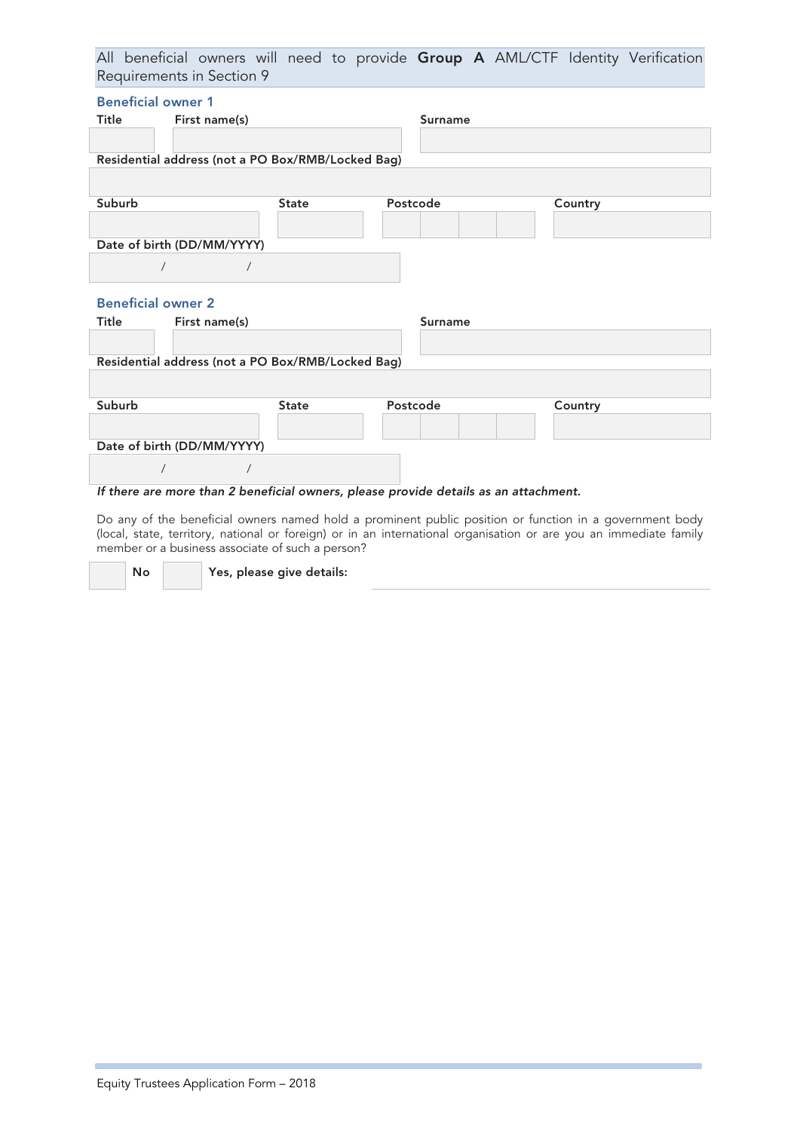All beneficial owners will need to provide Group A AML/CTF Identity Verification Requirements in Section 9

| <b>Beneficial owner 1</b>                         |              |                |         |
|---------------------------------------------------|--------------|----------------|---------|
| Title<br>First name(s)                            |              | <b>Surname</b> |         |
| Residential address (not a PO Box/RMB/Locked Bag) |              |                |         |
| Suburb                                            | <b>State</b> | Postcode       | Country |
| Date of birth (DD/MM/YYYY)                        |              |                |         |
| $\sqrt{2}$<br>$\sqrt{2}$                          |              |                |         |
| <b>Beneficial owner 2</b>                         |              |                |         |
| Title<br>First name(s)                            |              | <b>Surname</b> |         |
|                                                   |              |                |         |
| Residential address (not a PO Box/RMB/Locked Bag) |              |                |         |
|                                                   |              |                |         |
| Suburb                                            | <b>State</b> | Postcode       | Country |
|                                                   |              |                |         |
| Date of birth (DD/MM/YYYY)                        |              |                |         |
|                                                   |              |                |         |

#### If there are more than 2 beneficial owners, please provide details as an attachment.

Do any of the beneficial owners named hold a prominent public position or function in a government body (local, state, territory, national or foreign) or in an international organisation or are you an immediate family member or a business associate of such a person?

No Yes, please give details: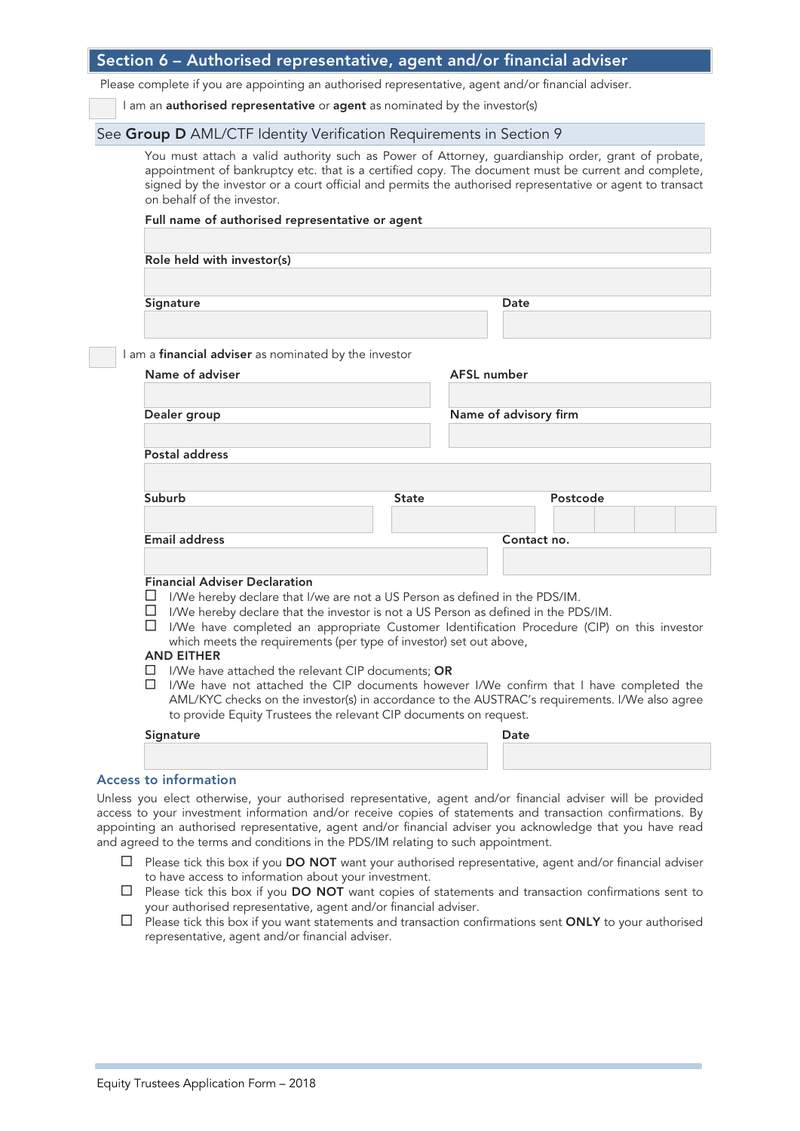| Section 6 – Authorised representative, agent and/or financial adviser |
|-----------------------------------------------------------------------|
|-----------------------------------------------------------------------|

Please complete if you are appointing an authorised representative, agent and/or financial adviser.

I am an **authorised representative** or **agent** as nominated by the investor(s)

#### See Group D AML/CTF Identity Verification Requirements in Section 9

You must attach a valid authority such as Power of Attorney, guardianship order, grant of probate, appointment of bankruptcy etc. that is a certified copy. The document must be current and complete, signed by the investor or a court official and permits the authorised representative or agent to transact on behalf of the investor.

#### Full name of authorised representative or agent

Role held with investor(s)

Signature Date

I am a financial adviser as nominated by the investor

| $\alpha$ imandial auviser as normaled by the investor                                                                           |              |                       |          |  |
|---------------------------------------------------------------------------------------------------------------------------------|--------------|-----------------------|----------|--|
| Name of adviser                                                                                                                 |              | AFSL number           |          |  |
|                                                                                                                                 |              |                       |          |  |
| Dealer group                                                                                                                    |              | Name of advisory firm |          |  |
|                                                                                                                                 |              |                       |          |  |
| Postal address                                                                                                                  |              |                       |          |  |
| Suburb                                                                                                                          | <b>State</b> |                       | Postcode |  |
|                                                                                                                                 |              |                       |          |  |
| <b>Email address</b>                                                                                                            |              | Contact no.           |          |  |
|                                                                                                                                 |              |                       |          |  |
| <b>Financial Adviser Declaration</b><br>$\alpha$<br>I/We hereby declare that I/we are not a US Person as defined in the PDS/IM. |              |                       |          |  |

- $\Box$  I/We hereby declare that the investor is not a US Person as defined in the PDS/IM.
- I/We have completed an appropriate Customer Identification Procedure (CIP) on this investor which meets the requirements (per type of investor) set out above,

#### AND EITHER

- $\Box$  I/We have attached the relevant CIP documents; OR
- I/We have not attached the CIP documents however I/We confirm that I have completed the AML/KYC checks on the investor(s) in accordance to the AUSTRAC's requirements. I/We also agree to provide Equity Trustees the relevant CIP documents on request.

| Signature | Date |
|-----------|------|
|           |      |

#### Access to information

Unless you elect otherwise, your authorised representative, agent and/or financial adviser will be provided access to your investment information and/or receive copies of statements and transaction confirmations. By appointing an authorised representative, agent and/or financial adviser you acknowledge that you have read and agreed to the terms and conditions in the PDS/IM relating to such appointment.

- $\Box$  Please tick this box if you **DO NOT** want your authorised representative, agent and/or financial adviser to have access to information about your investment.
- $\Box$  Please tick this box if you **DO NOT** want copies of statements and transaction confirmations sent to your authorised representative, agent and/or financial adviser.
- $\Box$  Please tick this box if you want statements and transaction confirmations sent ONLY to your authorised representative, agent and/or financial adviser.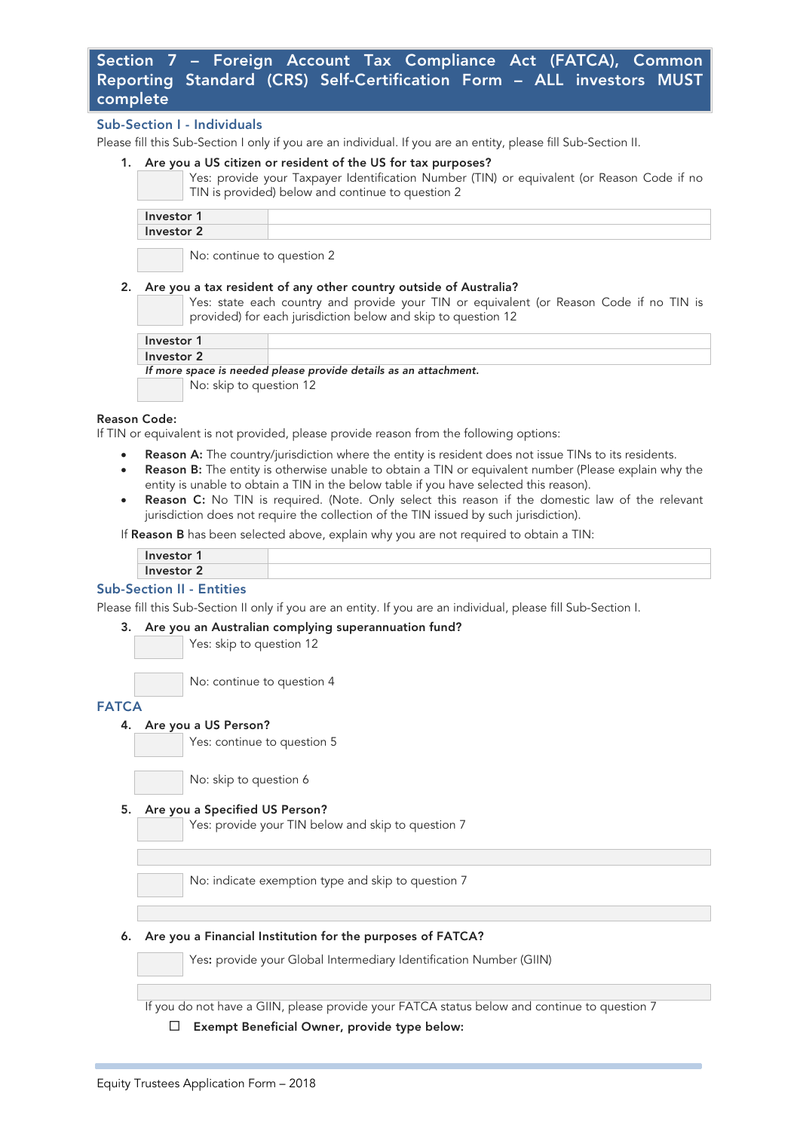# Section 7 – Foreign Account Tax Compliance Act (FATCA), Common Reporting Standard (CRS) Self-Certification Form – ALL investors MUST complete

#### Sub-Section I - Individuals

Please fill this Sub-Section I only if you are an individual. If you are an entity, please fill Sub-Section II.

#### Are you a US citizen or resident of the US for tax purposes?

Yes: provide your Taxpayer Identification Number (TIN) or equivalent (or Reason Code if no TIN is provided) below and continue to question 2

| Investor 1 |  |
|------------|--|
| Investor 2 |  |
|            |  |

No: continue to question 2

#### 2. Are you a tax resident of any other country outside of Australia?

Yes: state each country and provide your TIN or equivalent (or Reason Code if no TIN is provided) for each jurisdiction below and skip to question 12

| Investor 1 |  |
|------------|--|
| Investor 2 |  |

| $1118$ GJLVI 6 |                                                                  |  |  |
|----------------|------------------------------------------------------------------|--|--|
|                | If more space is needed please provide details as an attachment. |  |  |
|                | No: skip to question 12                                          |  |  |

#### Reason Code:

If TIN or equivalent is not provided, please provide reason from the following options:

- Reason A: The country/jurisdiction where the entity is resident does not issue TINs to its residents.
- Reason B: The entity is otherwise unable to obtain a TIN or equivalent number (Please explain why the entity is unable to obtain a TIN in the below table if you have selected this reason).
- Reason C: No TIN is required. (Note. Only select this reason if the domestic law of the relevant jurisdiction does not require the collection of the TIN issued by such jurisdiction).

If Reason B has been selected above, explain why you are not required to obtain a TIN:

| 1.222<br>זהזא |  |
|---------------|--|
| $-1 - 1$<br>  |  |
|               |  |

#### Sub-Section II - Entities

Please fill this Sub-Section II only if you are an entity. If you are an individual, please fill Sub-Section I.

#### 3. Are you an Australian complying superannuation fund?

Yes: skip to question 12

No: continue to question 4

#### **FATCA**

4. Are you a US Person?

Yes: continue to question 5

No: skip to question 6

#### 5. Are you a Specified US Person?

Yes: provide your TIN below and skip to question 7

No: indicate exemption type and skip to question 7

#### 6. Are you a Financial Institution for the purposes of FATCA?

Yes: provide your Global Intermediary Identification Number (GIIN)

If you do not have a GIIN, please provide your FATCA status below and continue to question 7

#### Exempt Beneficial Owner, provide type below: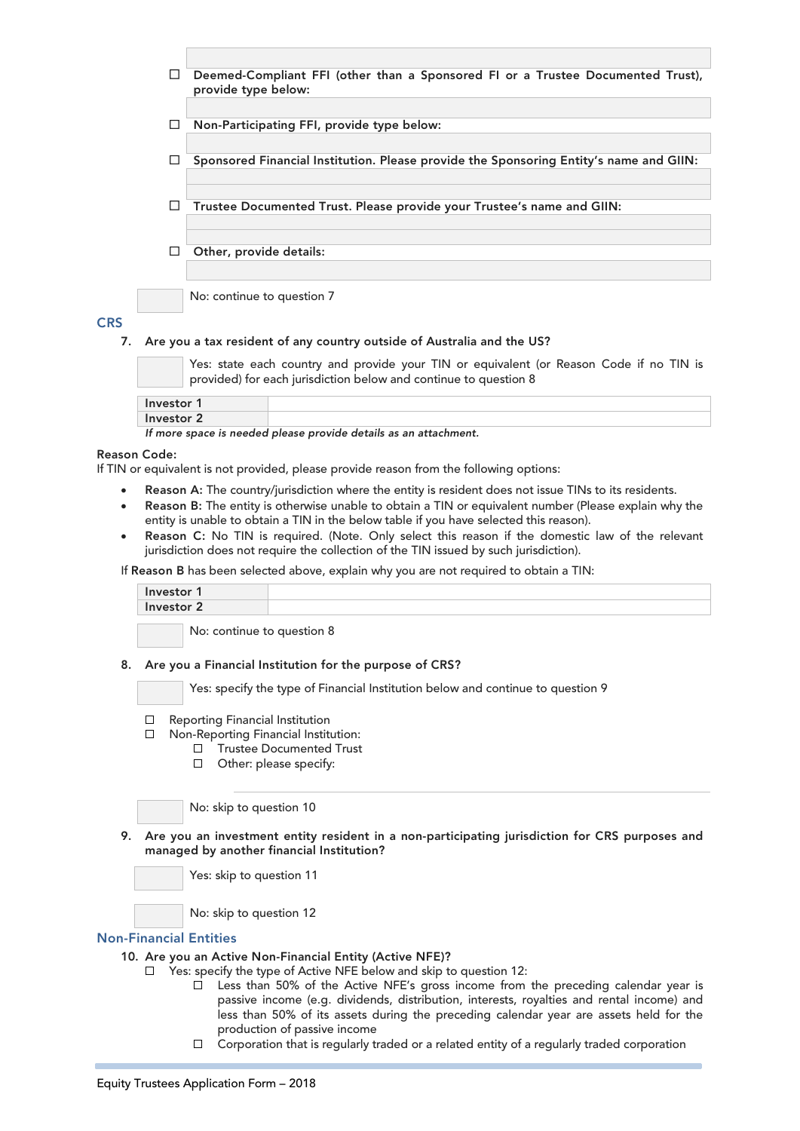

#### **CRS**

#### 7. Are you a tax resident of any country outside of Australia and the US?

Yes: state each country and provide your TIN or equivalent (or Reason Code if no TIN is provided) for each jurisdiction below and continue to question 8

| Investor   |  |
|------------|--|
| Investor 2 |  |

If more space is needed please provide details as an attachment.

#### Reason Code:

If TIN or equivalent is not provided, please provide reason from the following options:

- Reason A: The country/jurisdiction where the entity is resident does not issue TINs to its residents.
- Reason B: The entity is otherwise unable to obtain a TIN or equivalent number (Please explain why the entity is unable to obtain a TIN in the below table if you have selected this reason).
- Reason C: No TIN is required. (Note. Only select this reason if the domestic law of the relevant jurisdiction does not require the collection of the TIN issued by such jurisdiction).

If Reason B has been selected above, explain why you are not required to obtain a TIN:

| Investor   |  |
|------------|--|
| Investor 2 |  |

No: continue to question 8

#### 8. Are you a Financial Institution for the purpose of CRS?

Yes: specify the type of Financial Institution below and continue to question 9

- $\Box$ Reporting Financial Institution
- $\Box$ Non-Reporting Financial Institution:
	- Trustee Documented Trust  $\Box$
	- □ Other: please specify:

No: skip to question 10

9. Are you an investment entity resident in a non-participating jurisdiction for CRS purposes and managed by another financial Institution?

Yes: skip to question 11

No: skip to question 12

#### Non-Financial Entities

- 10. Are you an Active Non-Financial Entity (Active NFE)?
	- $\Box$ Yes: specify the type of Active NFE below and skip to question 12:
		- Less than 50% of the Active NFE's gross income from the preceding calendar year is  $\mathcal{N}_{\rm{max}}$ passive income (e.g. dividends, distribution, interests, royalties and rental income) and less than 50% of its assets during the preceding calendar year are assets held for the production of passive income
		- $\Box$  Corporation that is regularly traded or a related entity of a regularly traded corporation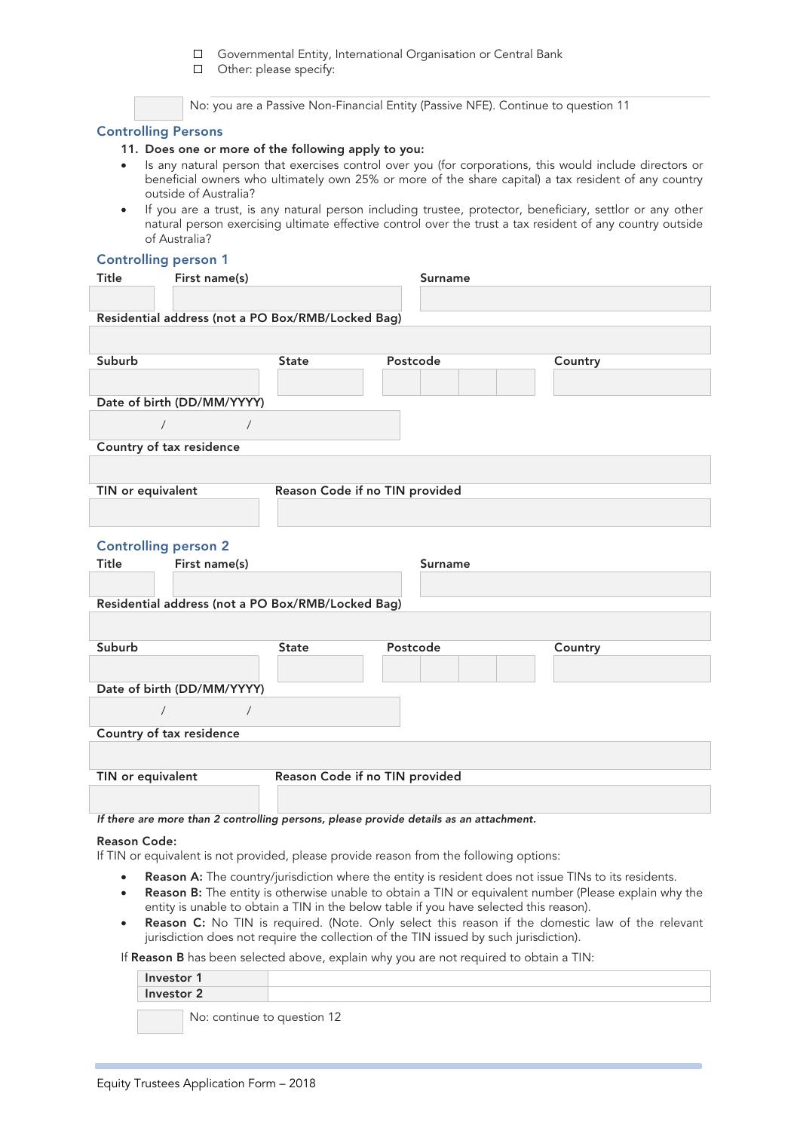$\Box$ Governmental Entity, International Organisation or Central Bank

Other: please specify:

No: you are a Passive Non-Financial Entity (Passive NFE). Continue to question 11

#### Controlling Persons

#### 11. Does one or more of the following apply to you:

- Is any natural person that exercises control over you (for corporations, this would include directors or beneficial owners who ultimately own 25% or more of the share capital) a tax resident of any country outside of Australia?
- If you are a trust, is any natural person including trustee, protector, beneficiary, settlor or any other natural person exercising ultimate effective control over the trust a tax resident of any country outside of Australia?

# Controlling person 1

| Title                       | First name(s)                            |                                                   | <b>Surname</b>                                                                         |         |
|-----------------------------|------------------------------------------|---------------------------------------------------|----------------------------------------------------------------------------------------|---------|
|                             |                                          |                                                   |                                                                                        |         |
|                             |                                          | Residential address (not a PO Box/RMB/Locked Bag) |                                                                                        |         |
|                             |                                          |                                                   |                                                                                        |         |
|                             |                                          |                                                   |                                                                                        |         |
| Suburb                      |                                          | <b>State</b>                                      | Postcode                                                                               | Country |
|                             |                                          |                                                   |                                                                                        |         |
|                             | Date of birth (DD/MM/YYYY)               |                                                   |                                                                                        |         |
|                             | $\sqrt{2}$                               |                                                   |                                                                                        |         |
|                             | Country of tax residence                 |                                                   |                                                                                        |         |
|                             |                                          |                                                   |                                                                                        |         |
| TIN or equivalent           |                                          | Reason Code if no TIN provided                    |                                                                                        |         |
|                             |                                          |                                                   |                                                                                        |         |
| <b>Controlling person 2</b> |                                          |                                                   |                                                                                        |         |
| Title                       | First name(s)                            |                                                   | Surname                                                                                |         |
|                             |                                          |                                                   |                                                                                        |         |
|                             |                                          | Residential address (not a PO Box/RMB/Locked Bag) |                                                                                        |         |
|                             |                                          |                                                   |                                                                                        |         |
|                             |                                          |                                                   |                                                                                        |         |
| Suburb                      |                                          | <b>State</b>                                      | Postcode                                                                               | Country |
|                             |                                          |                                                   |                                                                                        |         |
|                             |                                          |                                                   |                                                                                        |         |
| $\sqrt{2}$                  | Date of birth (DD/MM/YYYY)<br>$\sqrt{2}$ |                                                   |                                                                                        |         |
|                             |                                          |                                                   |                                                                                        |         |
|                             | Country of tax residence                 |                                                   |                                                                                        |         |
| TIN or equivalent           |                                          | Reason Code if no TIN provided                    |                                                                                        |         |
|                             |                                          |                                                   |                                                                                        |         |
|                             |                                          |                                                   | If there are more than 2 controlling persons, please provide details as an attachment. |         |

#### Reason Code:

If TIN or equivalent is not provided, please provide reason from the following options:

- Reason A: The country/jurisdiction where the entity is resident does not issue TINs to its residents.
- Reason B: The entity is otherwise unable to obtain a TIN or equivalent number (Please explain why the entity is unable to obtain a TIN in the below table if you have selected this reason).
- Reason C: No TIN is required. (Note. Only select this reason if the domestic law of the relevant jurisdiction does not require the collection of the TIN issued by such jurisdiction).

If Reason B has been selected above, explain why you are not required to obtain a TIN:

| Investor 1 |                             |  |
|------------|-----------------------------|--|
|            | Investor 2                  |  |
|            | No: continue to question 12 |  |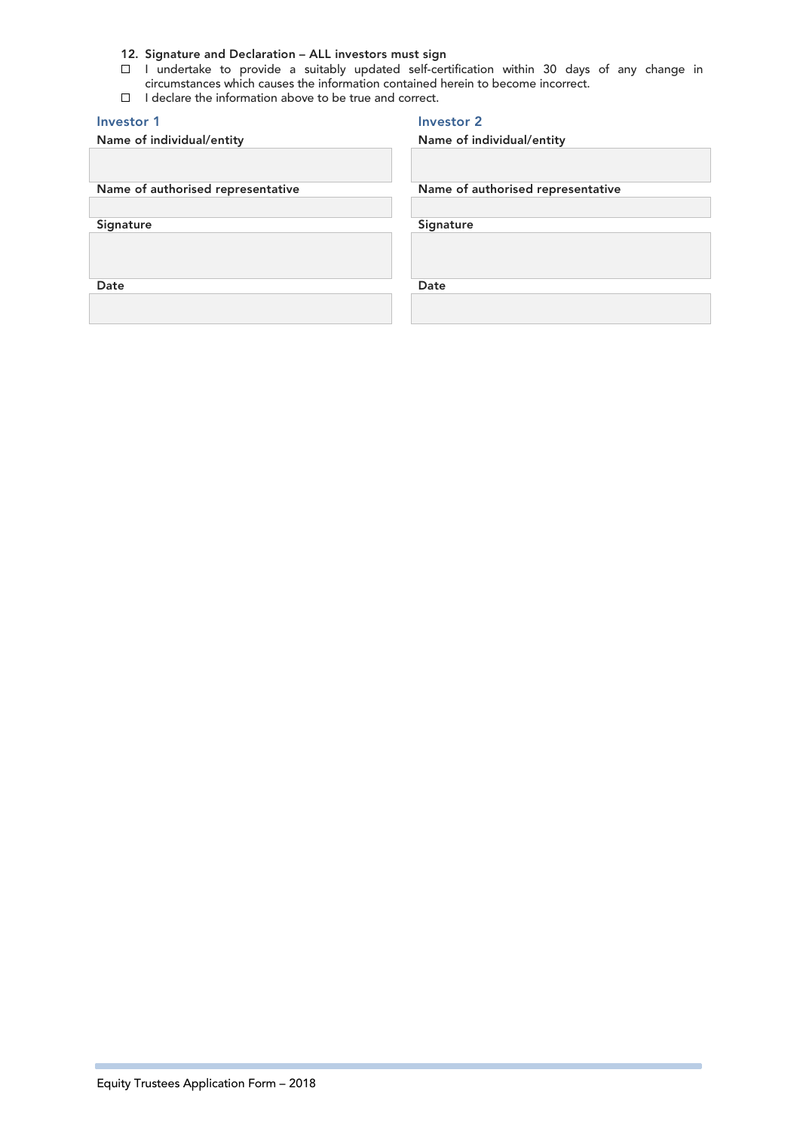#### 12. Signature and Declaration – ALL investors must sign

- I undertake to provide a suitably updated self-certification within 30 days of any change in circumstances which causes the information contained herein to become incorrect.
- I declare the information above to be true and correct.

# Investor 1 **Investor 2** Name of individual/entity Name of individual/entity Name of authorised representative Name of authorised representative Signature Signature Signature Date **Date** Date **Date**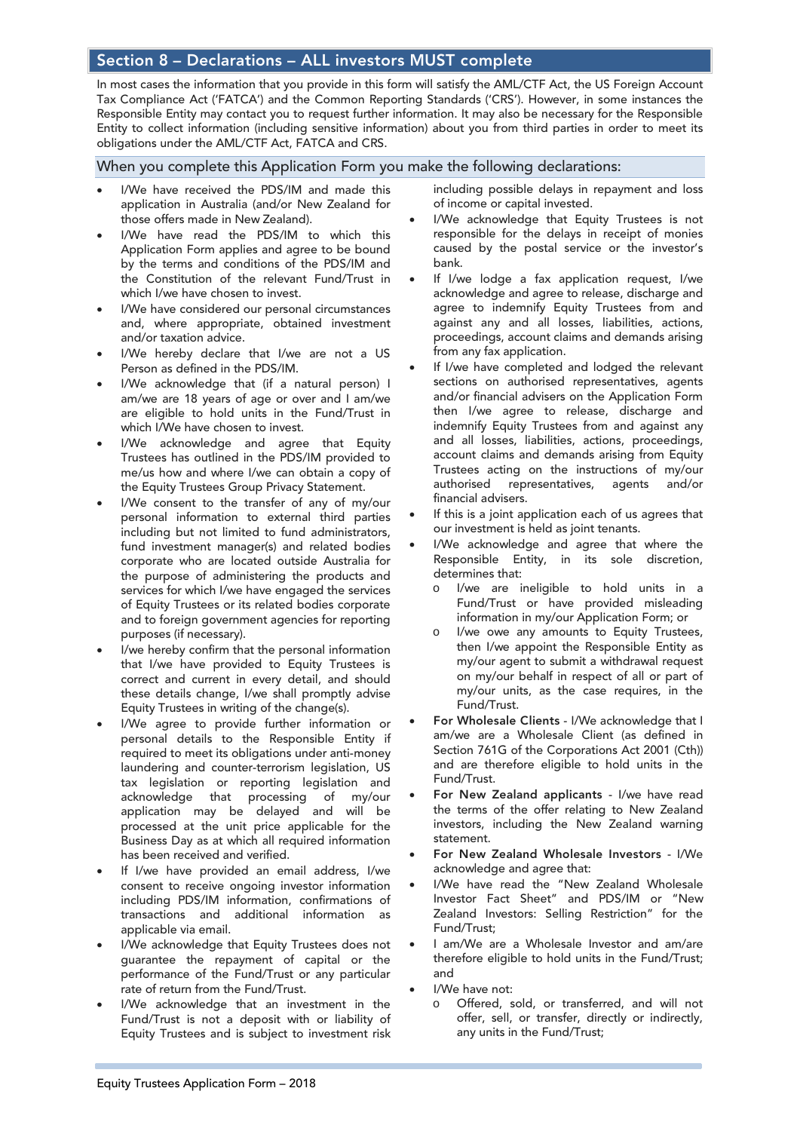# Section 8 – Declarations – ALL investors MUST complete

In most cases the information that you provide in this form will satisfy the AML/CTF Act, the US Foreign Account Tax Compliance Act ('FATCA') and the Common Reporting Standards ('CRS'). However, in some instances the Responsible Entity may contact you to request further information. It may also be necessary for the Responsible Entity to collect information (including sensitive information) about you from third parties in order to meet its obligations under the AML/CTF Act, FATCA and CRS.

#### When you complete this Application Form you make the following declarations:

- I/We have received the PDS/IM and made this application in Australia (and/or New Zealand for those offers made in New Zealand).
- I/We have read the PDS/IM to which this Application Form applies and agree to be bound by the terms and conditions of the PDS/IM and the Constitution of the relevant Fund/Trust in which I/we have chosen to invest.
- I/We have considered our personal circumstances and, where appropriate, obtained investment and/or taxation advice.
- I/We hereby declare that I/we are not a US Person as defined in the PDS/IM.
- I/We acknowledge that (if a natural person) I am/we are 18 years of age or over and I am/we are eligible to hold units in the Fund/Trust in which I/We have chosen to invest.
- I/We acknowledge and agree that Equity Trustees has outlined in the PDS/IM provided to me/us how and where I/we can obtain a copy of the Equity Trustees Group Privacy Statement.
- I/We consent to the transfer of any of my/our personal information to external third parties including but not limited to fund administrators, fund investment manager(s) and related bodies corporate who are located outside Australia for the purpose of administering the products and services for which I/we have engaged the services of Equity Trustees or its related bodies corporate and to foreign government agencies for reporting purposes (if necessary).
- I/we hereby confirm that the personal information that I/we have provided to Equity Trustees is correct and current in every detail, and should these details change, I/we shall promptly advise Equity Trustees in writing of the change(s).
- I/We agree to provide further information or personal details to the Responsible Entity if required to meet its obligations under anti-money laundering and counter-terrorism legislation, US tax legislation or reporting legislation and acknowledge that processing of my/our application may be delayed and will be processed at the unit price applicable for the Business Day as at which all required information has been received and verified.
- If I/we have provided an email address, I/we consent to receive ongoing investor information including PDS/IM information, confirmations of transactions and additional information as applicable via email.
- I/We acknowledge that Equity Trustees does not guarantee the repayment of capital or the performance of the Fund/Trust or any particular rate of return from the Fund/Trust.
- I/We acknowledge that an investment in the Fund/Trust is not a deposit with or liability of Equity Trustees and is subject to investment risk

including possible delays in repayment and loss of income or capital invested.

- I/We acknowledge that Equity Trustees is not responsible for the delays in receipt of monies caused by the postal service or the investor's bank.
- If I/we lodge a fax application request, I/we acknowledge and agree to release, discharge and agree to indemnify Equity Trustees from and against any and all losses, liabilities, actions, proceedings, account claims and demands arising from any fax application.
- If I/we have completed and lodged the relevant sections on authorised representatives, agents and/or financial advisers on the Application Form then I/we agree to release, discharge and indemnify Equity Trustees from and against any and all losses, liabilities, actions, proceedings, account claims and demands arising from Equity Trustees acting on the instructions of my/our authorised representatives, agents and/or financial advisers.
- If this is a joint application each of us agrees that our investment is held as joint tenants.
- I/We acknowledge and agree that where the Responsible Entity, in its sole discretion, determines that:
	- o I/we are ineligible to hold units in a Fund/Trust or have provided misleading information in my/our Application Form; or
	- I/we owe any amounts to Equity Trustees, then I/we appoint the Responsible Entity as my/our agent to submit a withdrawal request on my/our behalf in respect of all or part of my/our units, as the case requires, in the Fund/Trust.
- For Wholesale Clients I/We acknowledge that I am/we are a Wholesale Client (as defined in Section 761G of the Corporations Act 2001 (Cth)) and are therefore eligible to hold units in the Fund/Trust.
- For New Zealand applicants I/we have read the terms of the offer relating to New Zealand investors, including the New Zealand warning statement.
- For New Zealand Wholesale Investors I/We acknowledge and agree that:
- I/We have read the "New Zealand Wholesale Investor Fact Sheet" and PDS/IM or "New Zealand Investors: Selling Restriction" for the Fund/Trust;
- I am/We are a Wholesale Investor and am/are therefore eligible to hold units in the Fund/Trust; and
- I/We have not:
	- o Offered, sold, or transferred, and will not offer, sell, or transfer, directly or indirectly, any units in the Fund/Trust;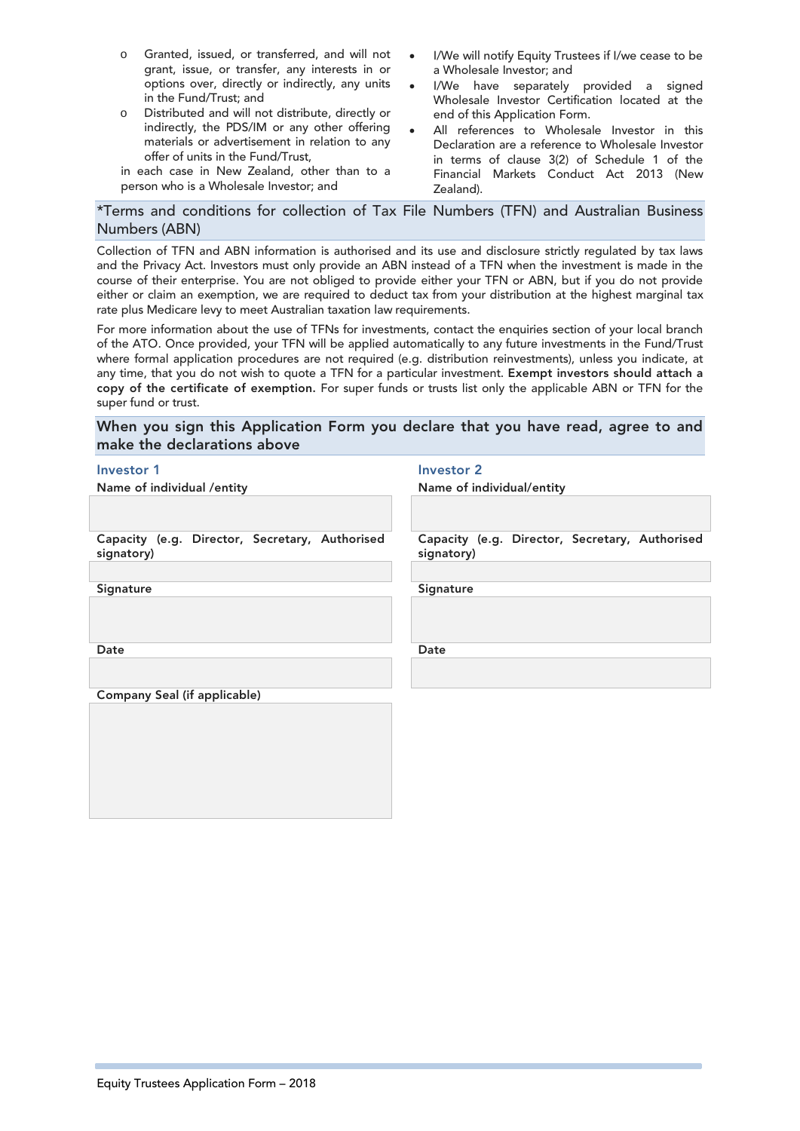- o Granted, issued, or transferred, and will not grant, issue, or transfer, any interests in or options over, directly or indirectly, any units in the Fund/Trust; and
- o Distributed and will not distribute, directly or indirectly, the PDS/IM or any other offering materials or advertisement in relation to any offer of units in the Fund/Trust,

in each case in New Zealand, other than to a person who is a Wholesale Investor; and

- I/We will notify Equity Trustees if I/we cease to be a Wholesale Investor; and
- I/We have separately provided a signed Wholesale Investor Certification located at the end of this Application Form.
- All references to Wholesale Investor in this Declaration are a reference to Wholesale Investor in terms of clause 3(2) of Schedule 1 of the Financial Markets Conduct Act 2013 (New Zealand).

### \*Terms and conditions for collection of Tax File Numbers (TFN) and Australian Business Numbers (ABN)

Collection of TFN and ABN information is authorised and its use and disclosure strictly regulated by tax laws and the Privacy Act. Investors must only provide an ABN instead of a TFN when the investment is made in the course of their enterprise. You are not obliged to provide either your TFN or ABN, but if you do not provide either or claim an exemption, we are required to deduct tax from your distribution at the highest marginal tax rate plus Medicare levy to meet Australian taxation law requirements.

For more information about the use of TFNs for investments, contact the enquiries section of your local branch of the ATO. Once provided, your TFN will be applied automatically to any future investments in the Fund/Trust where formal application procedures are not required (e.g. distribution reinvestments), unless you indicate, at any time, that you do not wish to quote a TFN for a particular investment. Exempt investors should attach a copy of the certificate of exemption. For super funds or trusts list only the applicable ABN or TFN for the super fund or trust.

#### When you sign this Application Form you declare that you have read, agree to and make the declarations above

#### Investor 1 **Investor 2**

| Name of individual /entity                                   | Name of individual/entity                                    |
|--------------------------------------------------------------|--------------------------------------------------------------|
| Capacity (e.g. Director, Secretary, Authorised<br>signatory) | Capacity (e.g. Director, Secretary, Authorised<br>signatory) |
| Signature                                                    | Signature                                                    |
| Date                                                         | Date                                                         |
| Company Seal (if applicable)                                 |                                                              |
|                                                              |                                                              |
|                                                              |                                                              |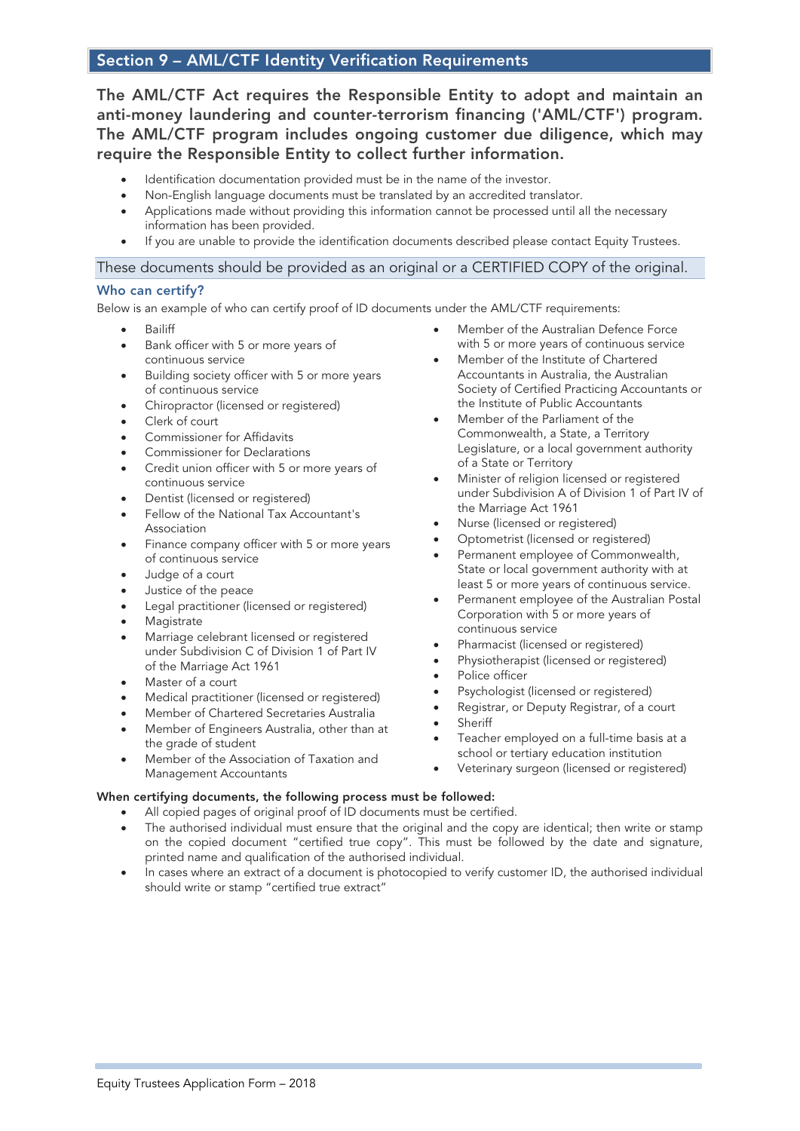# Section 9 – AML/CTF Identity Verification Requirements

The AML/CTF Act requires the Responsible Entity to adopt and maintain an anti-money laundering and counter-terrorism financing ('AML/CTF') program. The AML/CTF program includes ongoing customer due diligence, which may require the Responsible Entity to collect further information.

- Identification documentation provided must be in the name of the investor.
- Non-English language documents must be translated by an accredited translator.
- Applications made without providing this information cannot be processed until all the necessary information has been provided.
- If you are unable to provide the identification documents described please contact Equity Trustees.

# These documents should be provided as an original or a CERTIFIED COPY of the original.

#### Who can certify?

Below is an example of who can certify proof of ID documents under the AML/CTF requirements:

- Bailiff
- Bank officer with 5 or more years of continuous service
- Building society officer with 5 or more years of continuous service
- Chiropractor (licensed or registered)
- Clerk of court
- Commissioner for Affidavits
- Commissioner for Declarations
- Credit union officer with 5 or more years of continuous service
- Dentist (licensed or registered)
- Fellow of the National Tax Accountant's Association
- Finance company officer with 5 or more years of continuous service
- Judge of a court
- Justice of the peace
- Legal practitioner (licensed or registered)
- **Magistrate**
- Marriage celebrant licensed or registered under Subdivision C of Division 1 of Part IV of the Marriage Act 1961
- Master of a court
- Medical practitioner (licensed or registered)
- Member of Chartered Secretaries Australia
- Member of Engineers Australia, other than at the grade of student
- Member of the Association of Taxation and Management Accountants

#### When certifying documents, the following process must be followed:

- All copied pages of original proof of ID documents must be certified.
- The authorised individual must ensure that the original and the copy are identical; then write or stamp on the copied document "certified true copy". This must be followed by the date and signature, printed name and qualification of the authorised individual.
- In cases where an extract of a document is photocopied to verify customer ID, the authorised individual should write or stamp "certified true extract"
- Member of the Australian Defence Force with 5 or more years of continuous service
- Member of the Institute of Chartered Accountants in Australia, the Australian Society of Certified Practicing Accountants or the Institute of Public Accountants
- Member of the Parliament of the Commonwealth, a State, a Territory Legislature, or a local government authority of a State or Territory
- Minister of religion licensed or registered under Subdivision A of Division 1 of Part IV of the Marriage Act 1961
- Nurse (licensed or registered)
- Optometrist (licensed or registered)
- Permanent employee of Commonwealth, State or local government authority with at least 5 or more years of continuous service.
- Permanent employee of the Australian Postal Corporation with 5 or more years of continuous service
- Pharmacist (licensed or registered)
- Physiotherapist (licensed or registered)
- Police officer
- Psychologist (licensed or registered)
- Registrar, or Deputy Registrar, of a court
- **Sheriff**
- Teacher employed on a full-time basis at a school or tertiary education institution
- Veterinary surgeon (licensed or registered)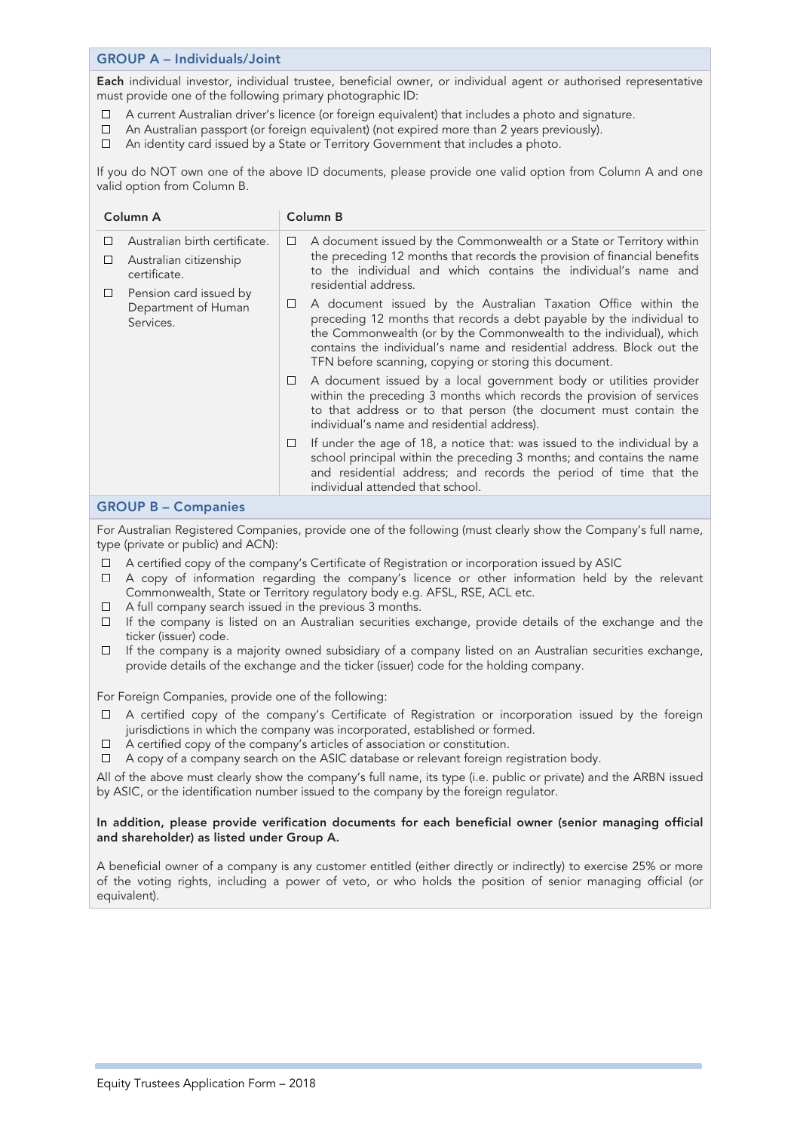#### GROUP A – Individuals/Joint

Each individual investor, individual trustee, beneficial owner, or individual agent or authorised representative must provide one of the following primary photographic ID:

- $\Box$ A current Australian driver's licence (or foreign equivalent) that includes a photo and signature.
- $\Box$ An Australian passport (or foreign equivalent) (not expired more than 2 years previously).
- An identity card issued by a State or Territory Government that includes a photo.  $\Box$

If you do NOT own one of the above ID documents, please provide one valid option from Column A and one valid option from Column B.

| Column A                                                                                                                                                  | Column B                                                                                                                                                                                                                                                                                                                                             |
|-----------------------------------------------------------------------------------------------------------------------------------------------------------|------------------------------------------------------------------------------------------------------------------------------------------------------------------------------------------------------------------------------------------------------------------------------------------------------------------------------------------------------|
| Australian birth certificate.<br>□<br>Australian citizenship<br>⊔<br>certificate.<br>Pension card issued by<br>$\Box$<br>Department of Human<br>Services. | A document issued by the Commonwealth or a State or Territory within<br>□<br>the preceding 12 months that records the provision of financial benefits<br>to the individual and which contains the individual's name and<br>residential address.                                                                                                      |
|                                                                                                                                                           | A document issued by the Australian Taxation Office within the<br>□<br>preceding 12 months that records a debt payable by the individual to<br>the Commonwealth (or by the Commonwealth to the individual), which<br>contains the individual's name and residential address. Block out the<br>TFN before scanning, copying or storing this document. |
|                                                                                                                                                           | A document issued by a local government body or utilities provider<br>□<br>within the preceding 3 months which records the provision of services<br>to that address or to that person (the document must contain the<br>individual's name and residential address).                                                                                  |
|                                                                                                                                                           | If under the age of 18, a notice that: was issued to the individual by a<br>□<br>school principal within the preceding 3 months; and contains the name<br>and residential address; and records the period of time that the<br>individual attended that school.                                                                                       |

#### GROUP B – Companies

For Australian Registered Companies, provide one of the following (must clearly show the Company's full name, type (private or public) and ACN):

- A certified copy of the company's Certificate of Registration or incorporation issued by ASIC
- $\Box$  A copy of information regarding the company's licence or other information held by the relevant Commonwealth, State or Territory regulatory body e.g. AFSL, RSE, ACL etc.
- $\Box$  A full company search issued in the previous 3 months.
- $\Box$  If the company is listed on an Australian securities exchange, provide details of the exchange and the ticker (issuer) code.
- $\Box$  If the company is a majority owned subsidiary of a company listed on an Australian securities exchange, provide details of the exchange and the ticker (issuer) code for the holding company.

For Foreign Companies, provide one of the following:

- A certified copy of the company's Certificate of Registration or incorporation issued by the foreign jurisdictions in which the company was incorporated, established or formed.
- $\Box$  A certified copy of the company's articles of association or constitution.
- $\Box$  A copy of a company search on the ASIC database or relevant foreign registration body.

All of the above must clearly show the company's full name, its type (i.e. public or private) and the ARBN issued by ASIC, or the identification number issued to the company by the foreign regulator.

#### In addition, please provide verification documents for each beneficial owner (senior managing official and shareholder) as listed under Group A.

A beneficial owner of a company is any customer entitled (either directly or indirectly) to exercise 25% or more of the voting rights, including a power of veto, or who holds the position of senior managing official (or equivalent).